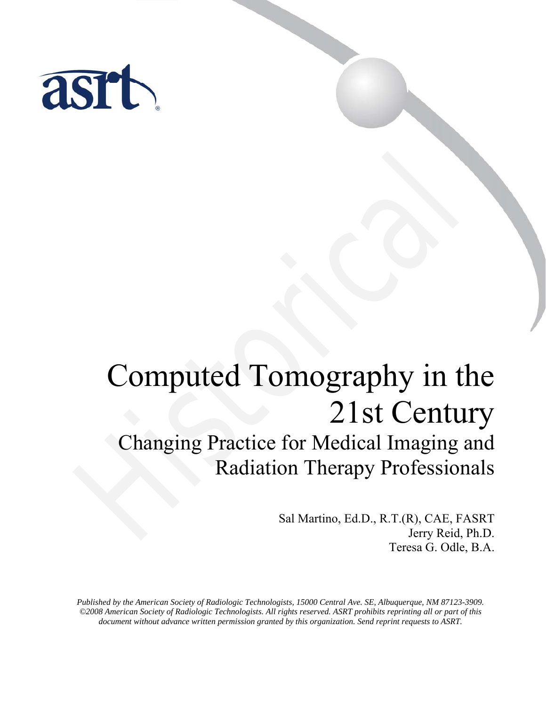

# Computed Tomography in the 21st Century Changing Practice for Medical Imaging and Computed Tomography in t<br>
21st Centu<br>
Changing Practice for Medical Imaging<br>
Radiation Therapy Profession<br>
Sal Martino, Ed.D., R.T.(R), CAE, Fa

# Radiation Therapy Professionals

Sal Martino, Ed.D., R.T.(R), CAE, FASRT Jerry Reid, Ph.D. Teresa G. Odle, B.A.

*Published by the American Society of Radiologic Technologists, 15000 Central Ave. SE, Albuquerque, NM 87123-3909. ©2008 American Society of Radiologic Technologists. All rights reserved. ASRT prohibits reprinting all or part of this document without advance written permission granted by this organization. Send reprint requests to ASRT.*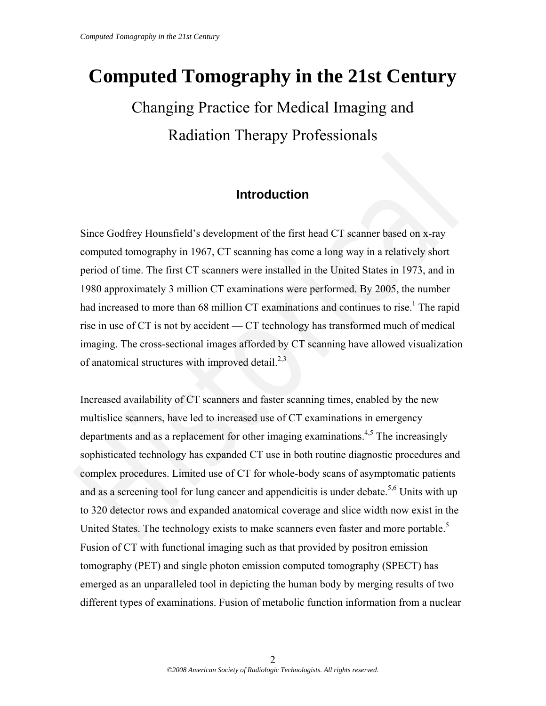# **Computed Tomography in the 21st Century**

# Changing Practice for Medical Imaging and Radiation Therapy Professionals

# **Introduction**

Since Godfrey Hounsfield's development of the first head CT scanner based on x-ray computed tomography in 1967, CT scanning has come a long way in a relatively short period of time. The first CT scanners were installed in the United States in 1973, and in 1980 approximately 3 million CT examinations were performed. By 2005, the number had increased to more than 68 million CT examinations and continues to rise.<sup>1</sup> The rapid rise in use of CT is not by accident — CT technology has transformed much of medical imaging. The cross-sectional images afforded by CT scanning have allowed visualization of anatomical structures with improved detail. $2,3$ 

Increased availability of CT scanners and faster scanning times, enabled by the new multislice scanners, have led to increased use of CT examinations in emergency departments and as a replacement for other imaging examinations.<sup>4,5</sup> The increasingly sophisticated technology has expanded CT use in both routine diagnostic procedures and complex procedures. Limited use of CT for whole-body scans of asymptomatic patients and as a screening tool for lung cancer and appendicitis is under debate.<sup>5,6</sup> Units with up to 320 detector rows and expanded anatomical coverage and slice width now exist in the United States. The technology exists to make scanners even faster and more portable.<sup>5</sup> Fusion of CT with functional imaging such as that provided by positron emission tomography (PET) and single photon emission computed tomography (SPECT) has emerged as an unparalleled tool in depicting the human body by merging results of two different types of examinations. Fusion of metabolic function information from a nuclear **Introduction**<br>
Since Godfrey Hounsfield's development of the first head CT seanner based on x-ray<br>
computed tomography in 1967, CT seaming has come a long way in a relatively short<br>
1980 approximately 3 million CT examin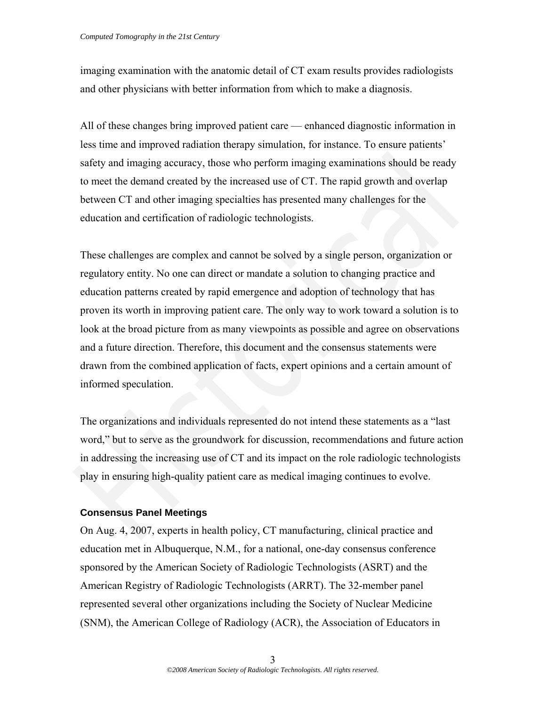imaging examination with the anatomic detail of CT exam results provides radiologists and other physicians with better information from which to make a diagnosis.

All of these changes bring improved patient care — enhanced diagnostic information in less time and improved radiation therapy simulation, for instance. To ensure patients' safety and imaging accuracy, those who perform imaging examinations should be ready to meet the demand created by the increased use of CT. The rapid growth and overlap between CT and other imaging specialties has presented many challenges for the education and certification of radiologic technologists.

These challenges are complex and cannot be solved by a single person, organization or regulatory entity. No one can direct or mandate a solution to changing practice and education patterns created by rapid emergence and adoption of technology that has proven its worth in improving patient care. The only way to work toward a solution is to look at the broad picture from as many viewpoints as possible and agree on observations and a future direction. Therefore, this document and the consensus statements were drawn from the combined application of facts, expert opinions and a certain amount of informed speculation. safety and imaging accuracy, those who perform imaging examinations should be ready<br>to meet the demand created by the increased use of CT. The rapid growth and overlap<br>between CT and other imaging specialties has presented

The organizations and individuals represented do not intend these statements as a "last word," but to serve as the groundwork for discussion, recommendations and future action in addressing the increasing use of CT and its impact on the role radiologic technologists play in ensuring high-quality patient care as medical imaging continues to evolve.

#### **Consensus Panel Meetings**

On Aug. 4, 2007, experts in health policy, CT manufacturing, clinical practice and education met in Albuquerque, N.M., for a national, one-day consensus conference sponsored by the American Society of Radiologic Technologists (ASRT) and the American Registry of Radiologic Technologists (ARRT). The 32-member panel represented several other organizations including the Society of Nuclear Medicine (SNM), the American College of Radiology (ACR), the Association of Educators in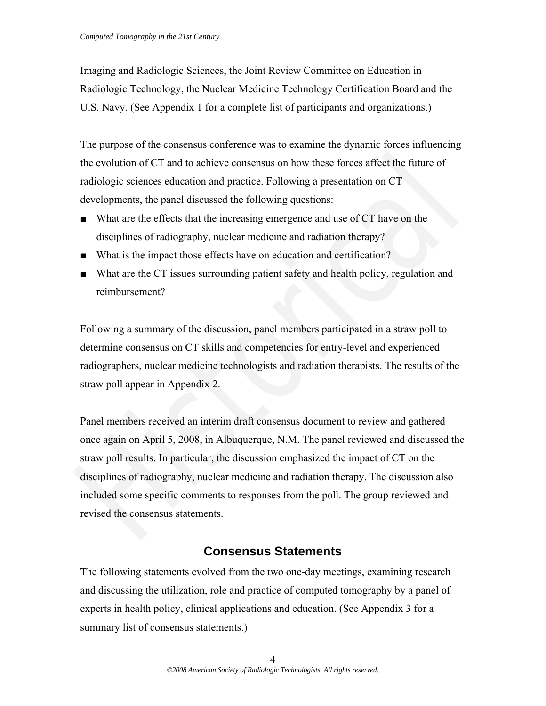Imaging and Radiologic Sciences, the Joint Review Committee on Education in Radiologic Technology, the Nuclear Medicine Technology Certification Board and the U.S. Navy. (See Appendix 1 for a complete list of participants and organizations.)

The purpose of the consensus conference was to examine the dynamic forces influencing the evolution of CT and to achieve consensus on how these forces affect the future of radiologic sciences education and practice. Following a presentation on CT developments, the panel discussed the following questions:

- What are the effects that the increasing emergence and use of CT have on the disciplines of radiography, nuclear medicine and radiation therapy?
- What is the impact those effects have on education and certification?
- What are the CT issues surrounding patient safety and health policy, regulation and reimbursement?

Following a summary of the discussion, panel members participated in a straw poll to determine consensus on CT skills and competencies for entry-level and experienced radiographers, nuclear medicine technologists and radiation therapists. The results of the straw poll appear in Appendix 2.

Panel members received an interim draft consensus document to review and gathered once again on April 5, 2008, in Albuquerque, N.M. The panel reviewed and discussed the straw poll results. In particular, the discussion emphasized the impact of CT on the disciplines of radiography, nuclear medicine and radiation therapy. The discussion also included some specific comments to responses from the poll. The group reviewed and revised the consensus statements. the evolution of CT and to achieve consensus on how these forces affect the future of<br>radiologic sciences cducation and practice. Following a presentation on CT<br>developments, the panel discussed the following questions:<br>No

# **Consensus Statements**

The following statements evolved from the two one-day meetings, examining research and discussing the utilization, role and practice of computed tomography by a panel of experts in health policy, clinical applications and education. (See Appendix 3 for a summary list of consensus statements.)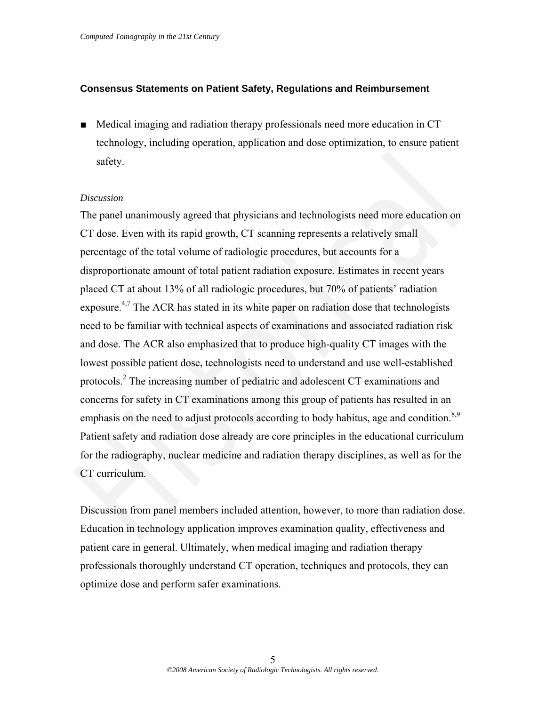#### **Consensus Statements on Patient Safety, Regulations and Reimbursement**

■ Medical imaging and radiation therapy professionals need more education in CT technology, including operation, application and dose optimization, to ensure patient safety.

#### *Discussion*

The panel unanimously agreed that physicians and technologists need more education on CT dose. Even with its rapid growth, CT scanning represents a relatively small percentage of the total volume of radiologic procedures, but accounts for a disproportionate amount of total patient radiation exposure. Estimates in recent years placed CT at about 13% of all radiologic procedures, but 70% of patients' radiation exposure.<sup>4,7</sup> The ACR has stated in its white paper on radiation dose that technologists need to be familiar with technical aspects of examinations and associated radiation risk and dose. The ACR also emphasized that to produce high-quality CT images with the lowest possible patient dose, technologists need to understand and use well-established protocols.2 The increasing number of pediatric and adolescent CT examinations and concerns for safety in CT examinations among this group of patients has resulted in an emphasis on the need to adjust protocols according to body habitus, age and condition.<sup>8,9</sup> Patient safety and radiation dose already are core principles in the educational curriculum for the radiography, nuclear medicine and radiation therapy disciplines, as well as for the CT curriculum. safety.<br>
Discussion<br>
The panel unanimously agreed that physicians and technologists need more education on<br>
CT dose. Even with its rapid growth, CT scanning represents a relatively small<br>
percentage of the total volume of

Discussion from panel members included attention, however, to more than radiation dose. Education in technology application improves examination quality, effectiveness and patient care in general. Ultimately, when medical imaging and radiation therapy professionals thoroughly understand CT operation, techniques and protocols, they can optimize dose and perform safer examinations.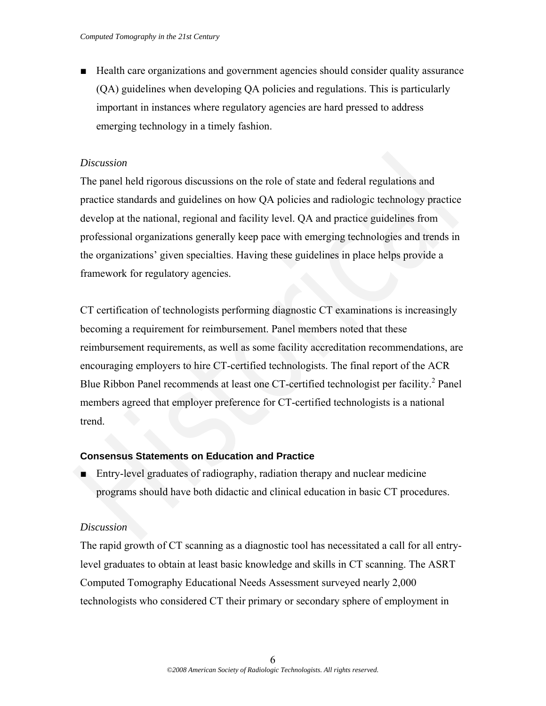■ Health care organizations and government agencies should consider quality assurance (QA) guidelines when developing QA policies and regulations. This is particularly important in instances where regulatory agencies are hard pressed to address emerging technology in a timely fashion.

# *Discussion*

The panel held rigorous discussions on the role of state and federal regulations and practice standards and guidelines on how QA policies and radiologic technology practice develop at the national, regional and facility level. QA and practice guidelines from professional organizations generally keep pace with emerging technologies and trends in the organizations' given specialties. Having these guidelines in place helps provide a framework for regulatory agencies.

CT certification of technologists performing diagnostic CT examinations is increasingly becoming a requirement for reimbursement. Panel members noted that these reimbursement requirements, as well as some facility accreditation recommendations, are encouraging employers to hire CT-certified technologists. The final report of the ACR Blue Ribbon Panel recommends at least one CT-certified technologist per facility.<sup>2</sup> Panel members agreed that employer preference for CT-certified technologists is a national trend. Discussion<br>The panel held rigorous discussions on the role of state and federal regulations and<br>practice standards and guidelines on how QA policies and radiologic technology practice<br>develop at the national, regional and

# **Consensus Statements on Education and Practice**

■ Entry-level graduates of radiography, radiation therapy and nuclear medicine programs should have both didactic and clinical education in basic CT procedures.

# *Discussion*

The rapid growth of CT scanning as a diagnostic tool has necessitated a call for all entrylevel graduates to obtain at least basic knowledge and skills in CT scanning. The ASRT Computed Tomography Educational Needs Assessment surveyed nearly 2,000 technologists who considered CT their primary or secondary sphere of employment in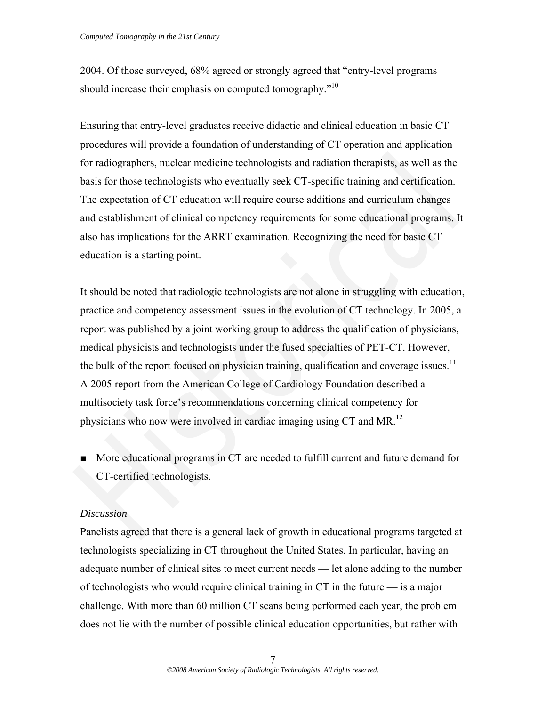2004. Of those surveyed, 68% agreed or strongly agreed that "entry-level programs should increase their emphasis on computed tomography."<sup>10</sup>

Ensuring that entry-level graduates receive didactic and clinical education in basic CT procedures will provide a foundation of understanding of CT operation and application for radiographers, nuclear medicine technologists and radiation therapists, as well as the basis for those technologists who eventually seek CT-specific training and certification. The expectation of CT education will require course additions and curriculum changes and establishment of clinical competency requirements for some educational programs. It also has implications for the ARRT examination. Recognizing the need for basic CT education is a starting point.

It should be noted that radiologic technologists are not alone in struggling with education, practice and competency assessment issues in the evolution of CT technology. In 2005, a report was published by a joint working group to address the qualification of physicians, medical physicists and technologists under the fused specialties of PET-CT. However, the bulk of the report focused on physician training, qualification and coverage issues.<sup>11</sup> A 2005 report from the American College of Cardiology Foundation described a multisociety task force's recommendations concerning clinical competency for physicians who now were involved in cardiac imaging using CT and MR.<sup>12</sup> for radiographers, nuclear medicine technologists and radiation therapists, as well as the<br>basis for those technologists who eventually seck CT-specific training and certification.<br>The expectation of CT education will req

■ More educational programs in CT are needed to fulfill current and future demand for CT-certified technologists.

#### *Discussion*

Panelists agreed that there is a general lack of growth in educational programs targeted at technologists specializing in CT throughout the United States. In particular, having an adequate number of clinical sites to meet current needs — let alone adding to the number of technologists who would require clinical training in CT in the future — is a major challenge. With more than 60 million CT scans being performed each year, the problem does not lie with the number of possible clinical education opportunities, but rather with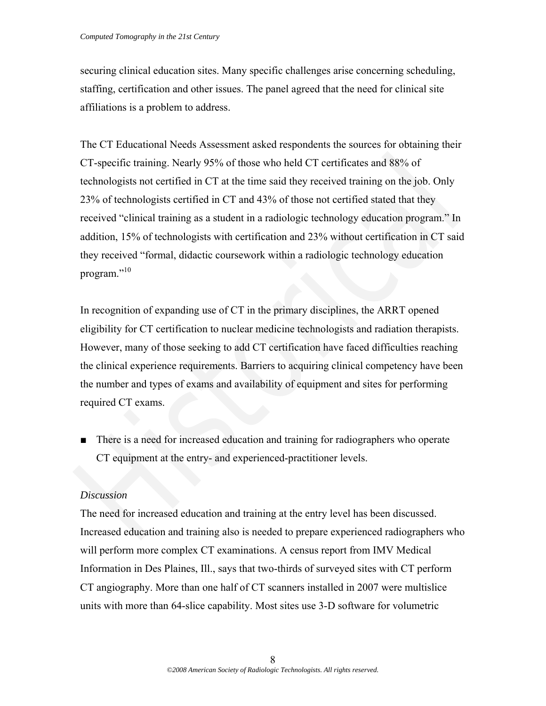securing clinical education sites. Many specific challenges arise concerning scheduling, staffing, certification and other issues. The panel agreed that the need for clinical site affiliations is a problem to address.

The CT Educational Needs Assessment asked respondents the sources for obtaining their CT-specific training. Nearly 95% of those who held CT certificates and 88% of technologists not certified in CT at the time said they received training on the job. Only 23% of technologists certified in CT and 43% of those not certified stated that they received "clinical training as a student in a radiologic technology education program." In addition, 15% of technologists with certification and 23% without certification in CT said they received "formal, didactic coursework within a radiologic technology education program."<sup>10</sup> CT-specific training. Nearly 95% of those who held CT certificates and 88% of<br>
technologists not certified in CT at the time said they received training on the job. Only<br>
23% of technologists certified in CT and 43% of th

In recognition of expanding use of CT in the primary disciplines, the ARRT opened eligibility for CT certification to nuclear medicine technologists and radiation therapists. However, many of those seeking to add CT certification have faced difficulties reaching the clinical experience requirements. Barriers to acquiring clinical competency have been the number and types of exams and availability of equipment and sites for performing required CT exams.

■ There is a need for increased education and training for radiographers who operate CT equipment at the entry- and experienced-practitioner levels.

# *Discussion*

The need for increased education and training at the entry level has been discussed. Increased education and training also is needed to prepare experienced radiographers who will perform more complex CT examinations. A census report from IMV Medical Information in Des Plaines, Ill., says that two-thirds of surveyed sites with CT perform CT angiography. More than one half of CT scanners installed in 2007 were multislice units with more than 64-slice capability. Most sites use 3-D software for volumetric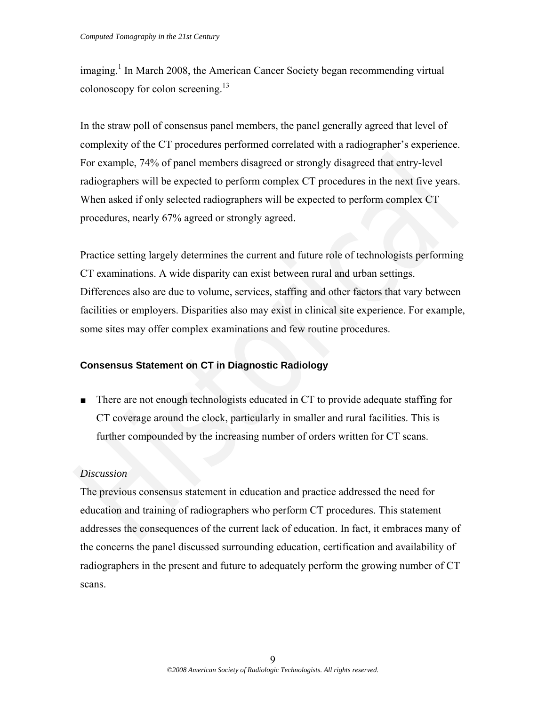imaging.<sup>1</sup> In March 2008, the American Cancer Society began recommending virtual colonoscopy for colon screening.<sup>13</sup>

In the straw poll of consensus panel members, the panel generally agreed that level of complexity of the CT procedures performed correlated with a radiographer's experience. For example, 74% of panel members disagreed or strongly disagreed that entry-level radiographers will be expected to perform complex CT procedures in the next five years. When asked if only selected radiographers will be expected to perform complex CT procedures, nearly 67% agreed or strongly agreed.

Practice setting largely determines the current and future role of technologists performing CT examinations. A wide disparity can exist between rural and urban settings. Differences also are due to volume, services, staffing and other factors that vary between facilities or employers. Disparities also may exist in clinical site experience. For example, some sites may offer complex examinations and few routine procedures. For example, 74% of panel members disagreed or strongly disagreed that entry-level<br>radiographers will be expected to perform complex CT procedures in the next five years.<br>When asked if only selected radiographers will be e

#### **Consensus Statement on CT in Diagnostic Radiology**

■ There are not enough technologists educated in CT to provide adequate staffing for CT coverage around the clock, particularly in smaller and rural facilities. This is further compounded by the increasing number of orders written for CT scans.

#### *Discussion*

The previous consensus statement in education and practice addressed the need for education and training of radiographers who perform CT procedures. This statement addresses the consequences of the current lack of education. In fact, it embraces many of the concerns the panel discussed surrounding education, certification and availability of radiographers in the present and future to adequately perform the growing number of CT scans.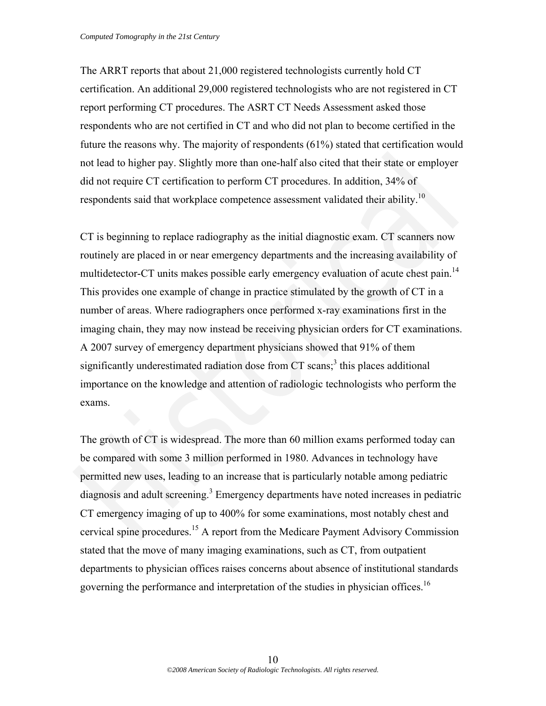The ARRT reports that about 21,000 registered technologists currently hold CT certification. An additional 29,000 registered technologists who are not registered in CT report performing CT procedures. The ASRT CT Needs Assessment asked those respondents who are not certified in CT and who did not plan to become certified in the future the reasons why. The majority of respondents (61%) stated that certification would not lead to higher pay. Slightly more than one-half also cited that their state or employer did not require CT certification to perform CT procedures. In addition, 34% of respondents said that workplace competence assessment validated their ability.<sup>10</sup>

CT is beginning to replace radiography as the initial diagnostic exam. CT scanners now routinely are placed in or near emergency departments and the increasing availability of multidetector-CT units makes possible early emergency evaluation of acute chest pain.<sup>14</sup> This provides one example of change in practice stimulated by the growth of CT in a number of areas. Where radiographers once performed x-ray examinations first in the imaging chain, they may now instead be receiving physician orders for CT examinations. A 2007 survey of emergency department physicians showed that 91% of them significantly underestimated radiation dose from  $CT$  scans;<sup>3</sup> this places additional importance on the knowledge and attention of radiologic technologists who perform the exams. not lead to higher pay. Slightly more than one-half also cited that their state or employer<br>did not require CT certification to perform CT procedures. In addition, 34% of<br>respondents said that workplace competence assessme

The growth of CT is widespread. The more than 60 million exams performed today can be compared with some 3 million performed in 1980. Advances in technology have permitted new uses, leading to an increase that is particularly notable among pediatric diagnosis and adult screening.<sup>3</sup> Emergency departments have noted increases in pediatric CT emergency imaging of up to 400% for some examinations, most notably chest and cervical spine procedures.15 A report from the Medicare Payment Advisory Commission stated that the move of many imaging examinations, such as CT, from outpatient departments to physician offices raises concerns about absence of institutional standards governing the performance and interpretation of the studies in physician offices.<sup>16</sup>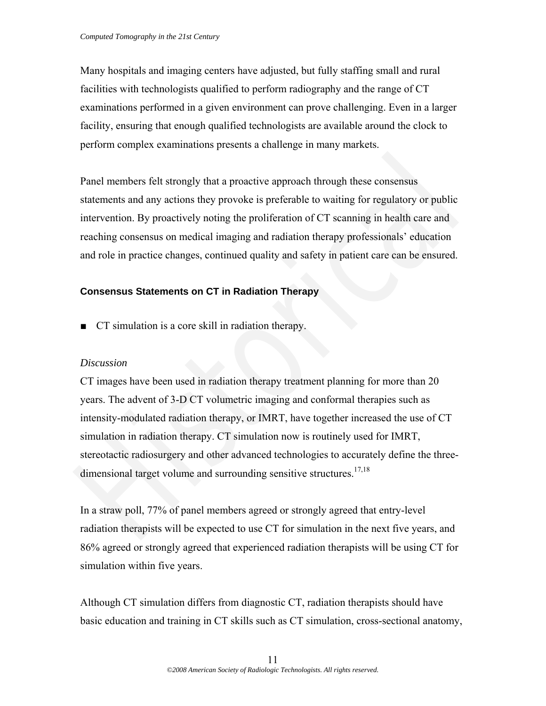Many hospitals and imaging centers have adjusted, but fully staffing small and rural facilities with technologists qualified to perform radiography and the range of CT examinations performed in a given environment can prove challenging. Even in a larger facility, ensuring that enough qualified technologists are available around the clock to perform complex examinations presents a challenge in many markets.

Panel members felt strongly that a proactive approach through these consensus statements and any actions they provoke is preferable to waiting for regulatory or public intervention. By proactively noting the proliferation of CT scanning in health care and reaching consensus on medical imaging and radiation therapy professionals' education and role in practice changes, continued quality and safety in patient care can be ensured.

# **Consensus Statements on CT in Radiation Therapy**

■ CT simulation is a core skill in radiation therapy.

# *Discussion*

CT images have been used in radiation therapy treatment planning for more than 20 years. The advent of 3-D CT volumetric imaging and conformal therapies such as intensity-modulated radiation therapy, or IMRT, have together increased the use of CT simulation in radiation therapy. CT simulation now is routinely used for IMRT, stereotactic radiosurgery and other advanced technologies to accurately define the threedimensional target volume and surrounding sensitive structures.<sup>17,18</sup> Panel members felt strongly that a proactive approach through these consensus<br>statements and any actions they provoke is preferable to waiting for regulatory or public<br>intervention. By proactively noting the proliferation

In a straw poll, 77% of panel members agreed or strongly agreed that entry-level radiation therapists will be expected to use CT for simulation in the next five years, and 86% agreed or strongly agreed that experienced radiation therapists will be using CT for simulation within five years.

Although CT simulation differs from diagnostic CT, radiation therapists should have basic education and training in CT skills such as CT simulation, cross-sectional anatomy,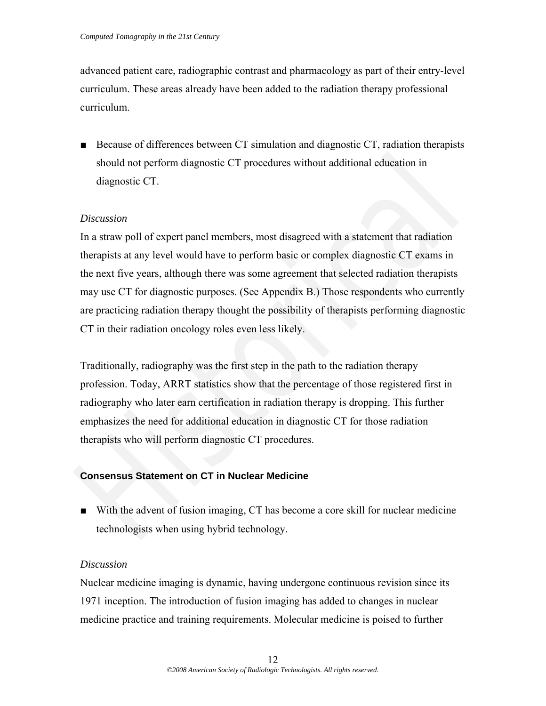advanced patient care, radiographic contrast and pharmacology as part of their entry-level curriculum. These areas already have been added to the radiation therapy professional curriculum.

■ Because of differences between CT simulation and diagnostic CT, radiation therapists should not perform diagnostic CT procedures without additional education in diagnostic CT.

# *Discussion*

In a straw poll of expert panel members, most disagreed with a statement that radiation therapists at any level would have to perform basic or complex diagnostic CT exams in the next five years, although there was some agreement that selected radiation therapists may use CT for diagnostic purposes. (See Appendix B.) Those respondents who currently are practicing radiation therapy thought the possibility of therapists performing diagnostic CT in their radiation oncology roles even less likely. should not perform diagnostic CT procedures without additional education in<br>
diagnostic CT.<br>
Discussion<br>
In a straw poll of expert panel members, most disagreed with a statement that radiation<br>
In a straw poll of expert p

Traditionally, radiography was the first step in the path to the radiation therapy profession. Today, ARRT statistics show that the percentage of those registered first in radiography who later earn certification in radiation therapy is dropping. This further emphasizes the need for additional education in diagnostic CT for those radiation therapists who will perform diagnostic CT procedures.

# **Consensus Statement on CT in Nuclear Medicine**

■ With the advent of fusion imaging, CT has become a core skill for nuclear medicine technologists when using hybrid technology.

# *Discussion*

Nuclear medicine imaging is dynamic, having undergone continuous revision since its 1971 inception. The introduction of fusion imaging has added to changes in nuclear medicine practice and training requirements. Molecular medicine is poised to further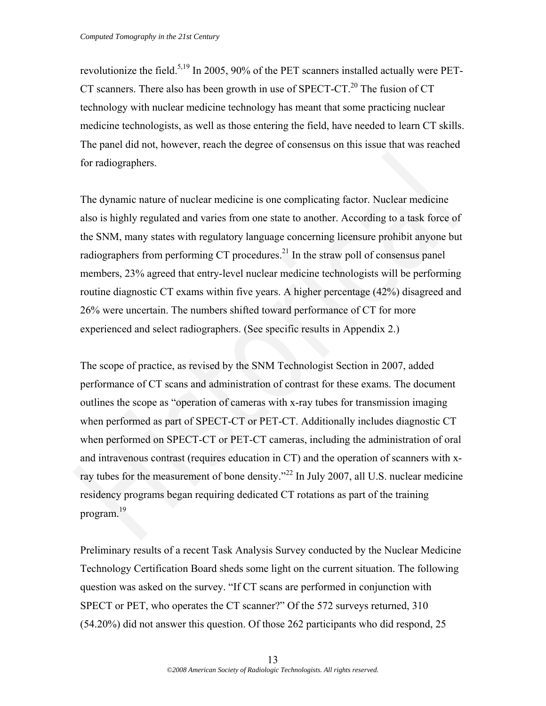revolutionize the field.<sup>5,19</sup> In 2005, 90% of the PET scanners installed actually were PET-CT scanners. There also has been growth in use of SPECT-CT.<sup>20</sup> The fusion of CT technology with nuclear medicine technology has meant that some practicing nuclear medicine technologists, as well as those entering the field, have needed to learn CT skills. The panel did not, however, reach the degree of consensus on this issue that was reached for radiographers.

The dynamic nature of nuclear medicine is one complicating factor. Nuclear medicine also is highly regulated and varies from one state to another. According to a task force of the SNM, many states with regulatory language concerning licensure prohibit anyone but radiographers from performing CT procedures. $^{21}$  In the straw poll of consensus panel members, 23% agreed that entry-level nuclear medicine technologists will be performing routine diagnostic CT exams within five years. A higher percentage (42%) disagreed and 26% were uncertain. The numbers shifted toward performance of CT for more experienced and select radiographers. (See specific results in Appendix 2.)

The scope of practice, as revised by the SNM Technologist Section in 2007, added performance of CT scans and administration of contrast for these exams. The document outlines the scope as "operation of cameras with x-ray tubes for transmission imaging when performed as part of SPECT-CT or PET-CT. Additionally includes diagnostic CT when performed on SPECT-CT or PET-CT cameras, including the administration of oral and intravenous contrast (requires education in CT) and the operation of scanners with xray tubes for the measurement of bone density."<sup>22</sup> In July 2007, all U.S. nuclear medicine residency programs began requiring dedicated CT rotations as part of the training program.19 for radiographers.<br>The dynamic nature of nuclear medicine is one complicating factor. Nuclear medicine<br>also is highly regulated and varies from one state to another. According to a task force of<br>the SNM, many states with

Preliminary results of a recent Task Analysis Survey conducted by the Nuclear Medicine Technology Certification Board sheds some light on the current situation. The following question was asked on the survey. "If CT scans are performed in conjunction with SPECT or PET, who operates the CT scanner?" Of the 572 surveys returned, 310 (54.20%) did not answer this question. Of those 262 participants who did respond, 25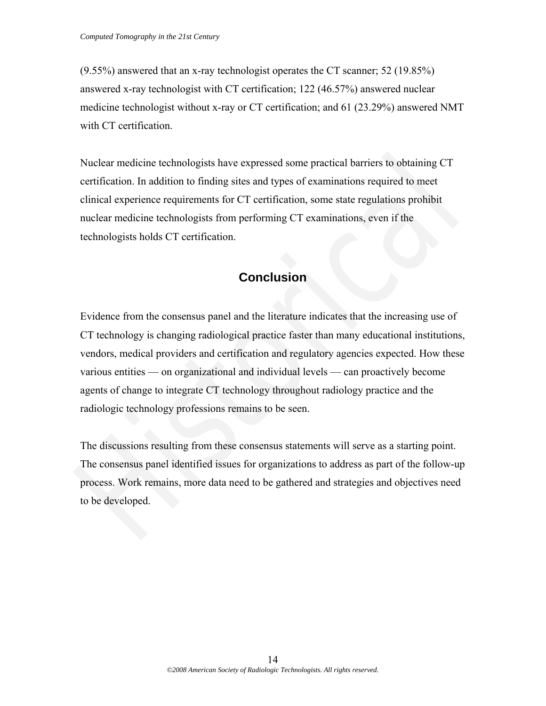(9.55%) answered that an x-ray technologist operates the CT scanner; 52 (19.85%) answered x-ray technologist with CT certification; 122 (46.57%) answered nuclear medicine technologist without x-ray or CT certification; and 61 (23.29%) answered NMT with CT certification.

Nuclear medicine technologists have expressed some practical barriers to obtaining CT certification. In addition to finding sites and types of examinations required to meet clinical experience requirements for CT certification, some state regulations prohibit nuclear medicine technologists from performing CT examinations, even if the technologists holds CT certification.

# **Conclusion**

Evidence from the consensus panel and the literature indicates that the increasing use of CT technology is changing radiological practice faster than many educational institutions, vendors, medical providers and certification and regulatory agencies expected. How these various entities — on organizational and individual levels — can proactively become agents of change to integrate CT technology throughout radiology practice and the radiologic technology professions remains to be seen. Nuclear medicine technologists have expressed some practical barriers to obtaining CT<br>certification. In addition to finding sites and types of examinations required to meet<br>clinical experience requirements for CT certifica

The discussions resulting from these consensus statements will serve as a starting point. The consensus panel identified issues for organizations to address as part of the follow-up process. Work remains, more data need to be gathered and strategies and objectives need to be developed.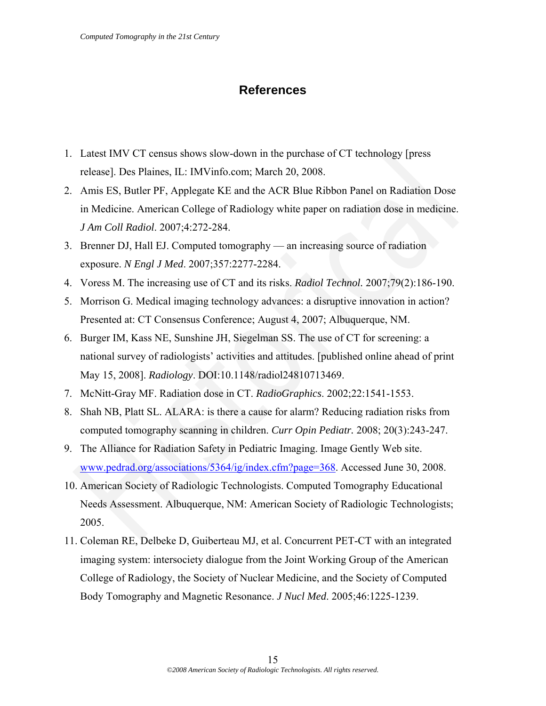# **References**

- 1. Latest IMV CT census shows slow-down in the purchase of CT technology [press release]. Des Plaines, IL: IMVinfo.com; March 20, 2008.
- 2. Amis ES, Butler PF, Applegate KE and the ACR Blue Ribbon Panel on Radiation Dose in Medicine. American College of Radiology white paper on radiation dose in medicine. *J Am Coll Radiol*. 2007;4:272-284.
- 3. Brenner DJ, Hall EJ. Computed tomography an increasing source of radiation exposure. *N Engl J Med*. 2007;357:2277-2284.
- 4. Voress M. The increasing use of CT and its risks. *Radiol Technol.* 2007;79(2):186-190.
- 5. Morrison G. Medical imaging technology advances: a disruptive innovation in action? Presented at: CT Consensus Conference; August 4, 2007; Albuquerque, NM.
- 6. Burger IM, Kass NE, Sunshine JH, Siegelman SS. The use of CT for screening: a national survey of radiologists' activities and attitudes. [published online ahead of print May 15, 2008]. *Radiology*. DOI:10.1148/radiol24810713469. Latest IMV CT census shows slow-down in the purchase of CT technology lpress<br>release]. Des Plaines, IL: IMVinfo.com; March 20, 2008.<br>Amis ES, Butler PF, Applegate KE and the ACR Blue Ribbon Panel on Radiation Dose<br>in Medic
- 7. McNitt-Gray MF. Radiation dose in CT. *RadioGraphics*. 2002;22:1541-1553.
- 8. Shah NB, Platt SL. ALARA: is there a cause for alarm? Reducing radiation risks from computed tomography scanning in children. *Curr Opin Pediatr.* 2008; 20(3):243-247.
- 9. The Alliance for Radiation Safety in Pediatric Imaging. Image Gently Web site. www.pedrad.org/associations/5364/ig/index.cfm?page=368. Accessed June 30, 2008.
- 10. American Society of Radiologic Technologists. Computed Tomography Educational Needs Assessment. Albuquerque, NM: American Society of Radiologic Technologists; 2005.
- 11. Coleman RE, Delbeke D, Guiberteau MJ, et al. Concurrent PET-CT with an integrated imaging system: intersociety dialogue from the Joint Working Group of the American College of Radiology, the Society of Nuclear Medicine, and the Society of Computed Body Tomography and Magnetic Resonance. *J Nucl Med*. 2005;46:1225-1239.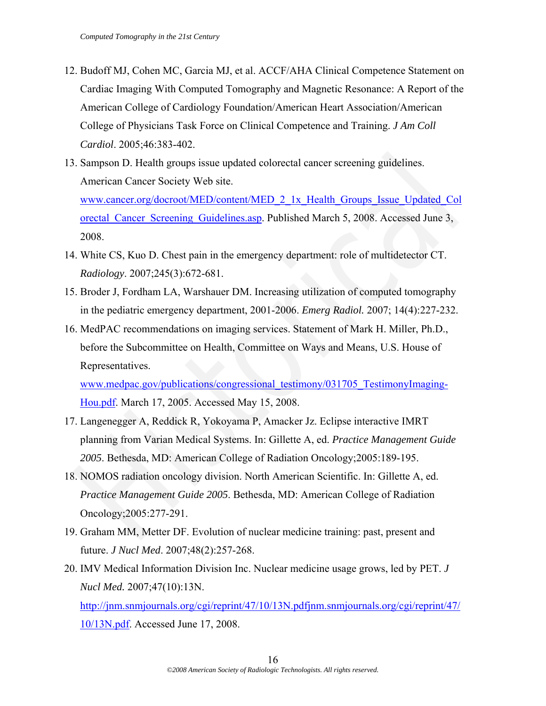- 12. Budoff MJ, Cohen MC, Garcia MJ, et al. ACCF/AHA Clinical Competence Statement on Cardiac Imaging With Computed Tomography and Magnetic Resonance: A Report of the American College of Cardiology Foundation/American Heart Association/American College of Physicians Task Force on Clinical Competence and Training. *J Am Coll Cardiol*. 2005;46:383-402.
- 13. Sampson D. Health groups issue updated colorectal cancer screening guidelines. American Cancer Society Web site. www.cancer.org/docroot/MED/content/MED\_2\_1x\_Health\_Groups\_Issue\_Updated\_Col orectal\_Cancer\_Screening\_Guidelines.asp. Published March 5, 2008. Accessed June 3, 2008. Sampson D. Health groups issue updated colorectal cancer screening guidelines.<br>
American Cancer Society Web site.<br>
<u>www.cancer org/docroot/MED/content/MED 2 1x</u> Health Groups Issue Updated Colorectal Cancer Screening Guide
- 14. White CS, Kuo D. Chest pain in the emergency department: role of multidetector CT. *Radiology*. 2007;245(3):672-681.
- 15. Broder J, Fordham LA, Warshauer DM. Increasing utilization of computed tomography in the pediatric emergency department, 2001-2006. *Emerg Radiol.* 2007; 14(4):227-232.
- 16. MedPAC recommendations on imaging services. Statement of Mark H. Miller, Ph.D., before the Subcommittee on Health, Committee on Ways and Means, U.S. House of Representatives.

www.medpac.gov/publications/congressional\_testimony/031705\_TestimonyImaging-Hou.pdf. March 17, 2005. Accessed May 15, 2008.

- 17. Langenegger A, Reddick R, Yokoyama P, Amacker Jz. Eclipse interactive IMRT planning from Varian Medical Systems. In: Gillette A, ed. *Practice Management Guide 2005*. Bethesda, MD: American College of Radiation Oncology;2005:189-195.
- 18. NOMOS radiation oncology division. North American Scientific. In: Gillette A, ed. *Practice Management Guide 2005*. Bethesda, MD: American College of Radiation Oncology;2005:277-291.
- 19. Graham MM, Metter DF. Evolution of nuclear medicine training: past, present and future. *J Nucl Med*. 2007;48(2):257-268.
- 20. IMV Medical Information Division Inc. Nuclear medicine usage grows, led by PET. *J Nucl Med.* 2007;47(10):13N.

http://jnm.snmjournals.org/cgi/reprint/47/10/13N.pdfjnm.snmjournals.org/cgi/reprint/47/ 10/13N.pdf. Accessed June 17, 2008.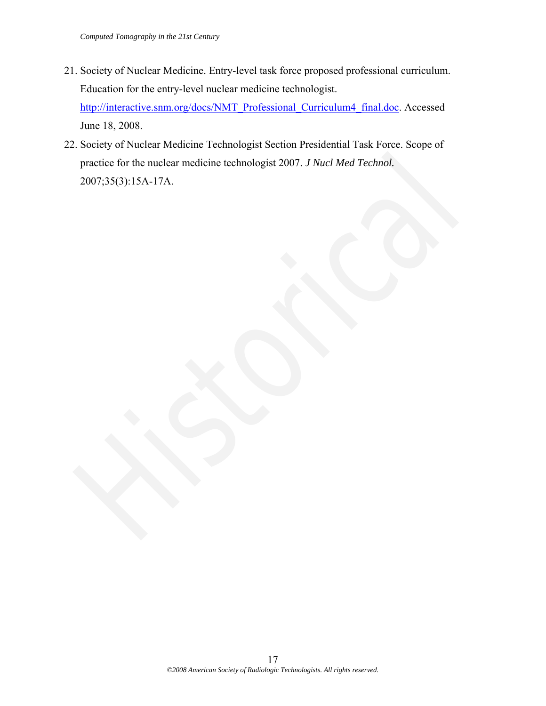- 21. Society of Nuclear Medicine. Entry-level task force proposed professional curriculum. Education for the entry-level nuclear medicine technologist. http://interactive.snm.org/docs/NMT\_Professional\_Curriculum4\_final.doc. Accessed June 18, 2008.
- 22. Society of Nuclear Medicine Technologist Section Presidential Task Force. Scope of practice for the nuclear medicine technologist 2007. *J Nucl Med Technol.* 2007;35(3):15A-17A. practice for the nuclear medicine technologist 2007. J Nucl Med Technol.<br>2007;35(3):15A-17A.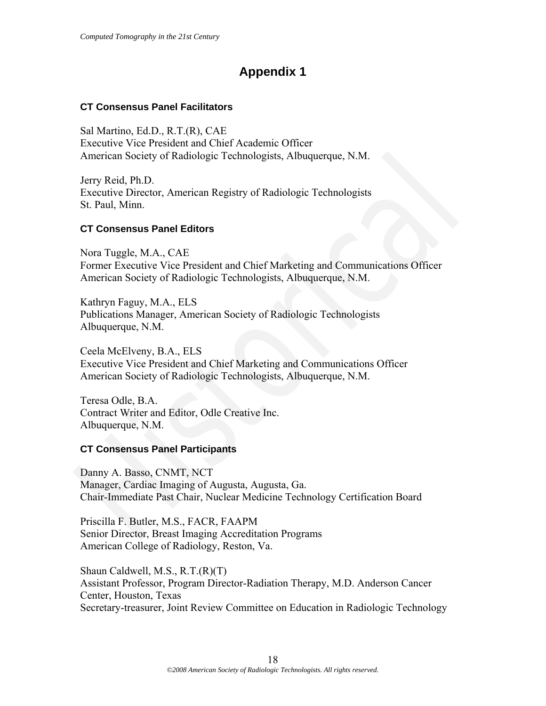# **Appendix 1**

# **CT Consensus Panel Facilitators**

Sal Martino, Ed.D., R.T.(R), CAE Executive Vice President and Chief Academic Officer American Society of Radiologic Technologists, Albuquerque, N.M.

Jerry Reid, Ph.D. Executive Director, American Registry of Radiologic Technologists St. Paul, Minn.

# **CT Consensus Panel Editors**

Nora Tuggle, M.A., CAE Former Executive Vice President and Chief Marketing and Communications Officer American Society of Radiologic Technologists, Albuquerque, N.M. American Society of Radiologie Technologists, Albuquerque, N.M.<br>
Jerry Reid, Ph.D.<br>
Executive Director, American Registry of Radiologic Technologists<br>
St. Paul, Minn.<br>
St. Paul, Minn.<br>
St. Paul, Minn.<br>
CT Consensus Panel E

Kathryn Faguy, M.A., ELS Publications Manager, American Society of Radiologic Technologists Albuquerque, N.M.

Ceela McElveny, B.A., ELS Executive Vice President and Chief Marketing and Communications Officer American Society of Radiologic Technologists, Albuquerque, N.M.

Teresa Odle, B.A. Contract Writer and Editor, Odle Creative Inc. Albuquerque, N.M.

# **CT Consensus Panel Participants**

Danny A. Basso, CNMT, NCT Manager, Cardiac Imaging of Augusta, Augusta, Ga. Chair-Immediate Past Chair, Nuclear Medicine Technology Certification Board

Priscilla F. Butler, M.S., FACR, FAAPM Senior Director, Breast Imaging Accreditation Programs American College of Radiology, Reston, Va.

Shaun Caldwell, M.S., R.T.(R)(T) Assistant Professor, Program Director-Radiation Therapy, M.D. Anderson Cancer Center, Houston, Texas Secretary-treasurer, Joint Review Committee on Education in Radiologic Technology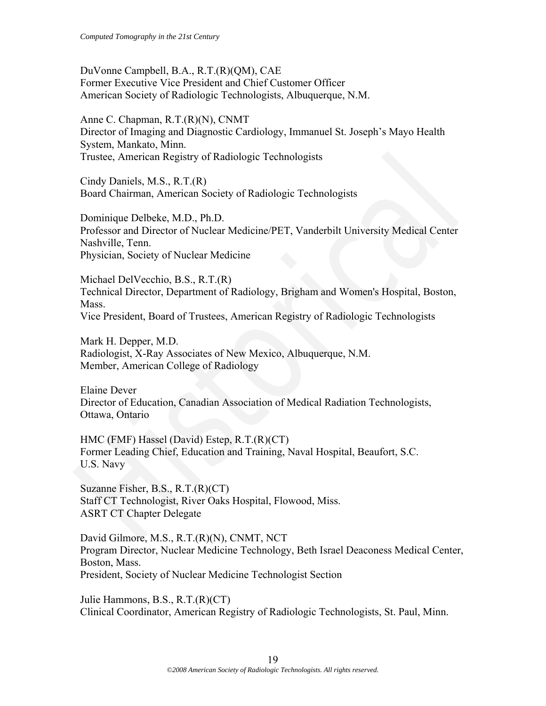DuVonne Campbell, B.A., R.T.(R)(QM), CAE Former Executive Vice President and Chief Customer Officer American Society of Radiologic Technologists, Albuquerque, N.M.

Anne C. Chapman, R.T.(R)(N), CNMT Director of Imaging and Diagnostic Cardiology, Immanuel St. Joseph's Mayo Health System, Mankato, Minn. Trustee, American Registry of Radiologic Technologists

Cindy Daniels, M.S., R.T.(R) Board Chairman, American Society of Radiologic Technologists

Dominique Delbeke, M.D., Ph.D. Professor and Director of Nuclear Medicine/PET, Vanderbilt University Medical Center Nashville, Tenn. Physician, Society of Nuclear Medicine Trustee, American Registry of Radiologic Technologists<br>
Cindy Danicls, M.S., R.T.(R)<br>
Board Chairman, American Society of Radiologic Technologists<br>
Dominique Delbeke, M.D., Ph.D.<br>
Professor and Director of Nuclear Medicine

Michael DelVecchio, B.S., R.T.(R) Technical Director, Department of Radiology, Brigham and Women's Hospital, Boston, Mass. Vice President, Board of Trustees, American Registry of Radiologic Technologists

Mark H. Depper, M.D. Radiologist, X-Ray Associates of New Mexico, Albuquerque, N.M. Member, American College of Radiology

Elaine Dever Director of Education, Canadian Association of Medical Radiation Technologists, Ottawa, Ontario

HMC (FMF) Hassel (David) Estep, R.T.(R)(CT) Former Leading Chief, Education and Training, Naval Hospital, Beaufort, S.C. U.S. Navy

Suzanne Fisher, B.S., R.T.(R)(CT) Staff CT Technologist, River Oaks Hospital, Flowood, Miss. ASRT CT Chapter Delegate

David Gilmore, M.S., R.T.(R)(N), CNMT, NCT Program Director, Nuclear Medicine Technology, Beth Israel Deaconess Medical Center, Boston, Mass. President, Society of Nuclear Medicine Technologist Section

Julie Hammons, B.S., R.T.(R)(CT) Clinical Coordinator, American Registry of Radiologic Technologists, St. Paul, Minn.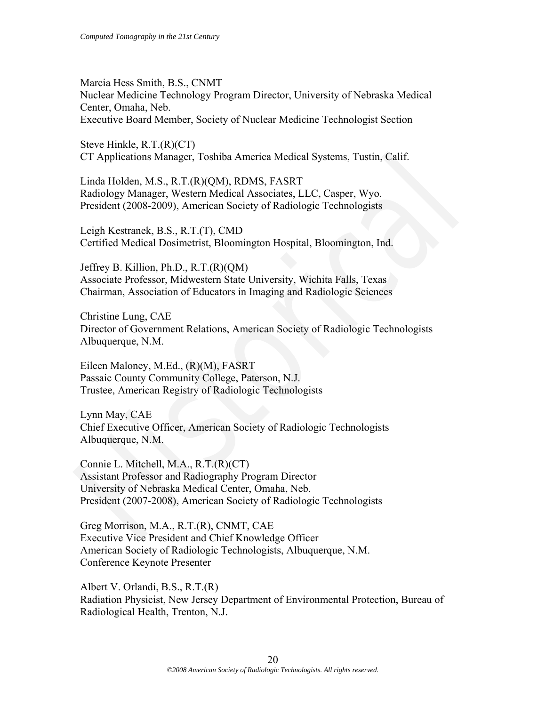Marcia Hess Smith, B.S., CNMT Nuclear Medicine Technology Program Director, University of Nebraska Medical Center, Omaha, Neb. Executive Board Member, Society of Nuclear Medicine Technologist Section

Steve Hinkle, R.T.(R)(CT) CT Applications Manager, Toshiba America Medical Systems, Tustin, Calif.

Linda Holden, M.S., R.T.(R)(QM), RDMS, FASRT Radiology Manager, Western Medical Associates, LLC, Casper, Wyo. President (2008-2009), American Society of Radiologic Technologists

Leigh Kestranek, B.S., R.T.(T), CMD Certified Medical Dosimetrist, Bloomington Hospital, Bloomington, Ind.

Jeffrey B. Killion, Ph.D., R.T.(R)(QM) Associate Professor, Midwestern State University, Wichita Falls, Texas Chairman, Association of Educators in Imaging and Radiologic Sciences

Christine Lung, CAE Director of Government Relations, American Society of Radiologic Technologists Albuquerque, N.M.

Eileen Maloney, M.Ed., (R)(M), FASRT Passaic County Community College, Paterson, N.J. Trustee, American Registry of Radiologic Technologists

Lynn May, CAE Chief Executive Officer, American Society of Radiologic Technologists Albuquerque, N.M.

Connie L. Mitchell, M.A., R.T.(R)(CT) Assistant Professor and Radiography Program Director University of Nebraska Medical Center, Omaha, Neb. President (2007-2008), American Society of Radiologic Technologists CT Applications Manager, Toshiba America Medical Systems, Tustin, Calif.<br>
Linda Holden, M.S., R.T.(R)(OM), RDMS, FASRT<br>
Radiology Manager, Western Medical Associates, LLC, Casper, Wyo.<br>
Radiology Manager, Western Medical A

Greg Morrison, M.A., R.T.(R), CNMT, CAE Executive Vice President and Chief Knowledge Officer American Society of Radiologic Technologists, Albuquerque, N.M. Conference Keynote Presenter

Albert V. Orlandi, B.S., R.T.(R) Radiation Physicist, New Jersey Department of Environmental Protection, Bureau of Radiological Health, Trenton, N.J.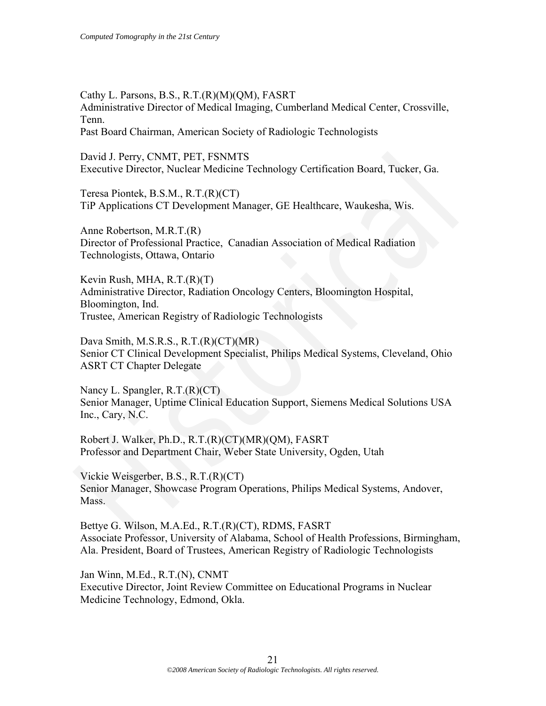Cathy L. Parsons, B.S., R.T.(R)(M)(QM), FASRT Administrative Director of Medical Imaging, Cumberland Medical Center, Crossville, Tenn.

Past Board Chairman, American Society of Radiologic Technologists

David J. Perry, CNMT, PET, FSNMTS Executive Director, Nuclear Medicine Technology Certification Board, Tucker, Ga.

Teresa Piontek, B.S.M., R.T.(R)(CT) TiP Applications CT Development Manager, GE Healthcare, Waukesha, Wis.

Anne Robertson, M.R.T.(R) Director of Professional Practice, Canadian Association of Medical Radiation Technologists, Ottawa, Ontario

Kevin Rush, MHA, R.T.(R)(T) Administrative Director, Radiation Oncology Centers, Bloomington Hospital, Bloomington, Ind. Trustee, American Registry of Radiologic Technologists David J. Perry, CNMT, PET, FSNMTS<br>
Executive Director, Nuclear Medicine Technology Certification Board, Tucker, Ga.<br>
Teresa Pionck, B.S.M., R.T.(R)(CT)<br>
TiP Applications CT Development Manager, GE Healthcare, Waukesha, Wis

Dava Smith, M.S.R.S., R.T.(R)(CT)(MR) Senior CT Clinical Development Specialist, Philips Medical Systems, Cleveland, Ohio ASRT CT Chapter Delegate

Nancy L. Spangler, R.T.(R)(CT) Senior Manager, Uptime Clinical Education Support, Siemens Medical Solutions USA Inc., Cary, N.C.

Robert J. Walker, Ph.D., R.T.(R)(CT)(MR)(QM), FASRT Professor and Department Chair, Weber State University, Ogden, Utah

Vickie Weisgerber, B.S., R.T.(R)(CT) Senior Manager, Showcase Program Operations, Philips Medical Systems, Andover, Mass.

Bettye G. Wilson, M.A.Ed., R.T.(R)(CT), RDMS, FASRT Associate Professor, University of Alabama, School of Health Professions, Birmingham, Ala. President, Board of Trustees, American Registry of Radiologic Technologists

Jan Winn, M.Ed., R.T.(N), CNMT Executive Director, Joint Review Committee on Educational Programs in Nuclear Medicine Technology, Edmond, Okla.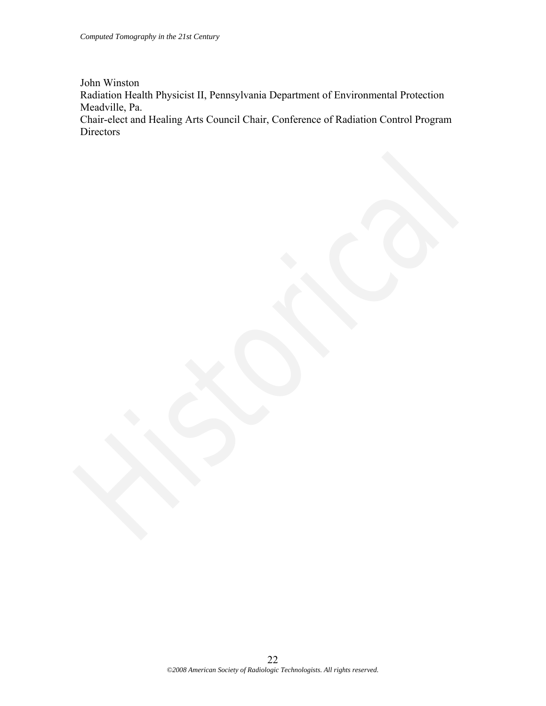John Winston Radiation Health Physicist II, Pennsylvania Department of Environmental Protection Meadville, Pa. Chair-elect and Healing Arts Council Chair, Conference of Radiation Control Program Directors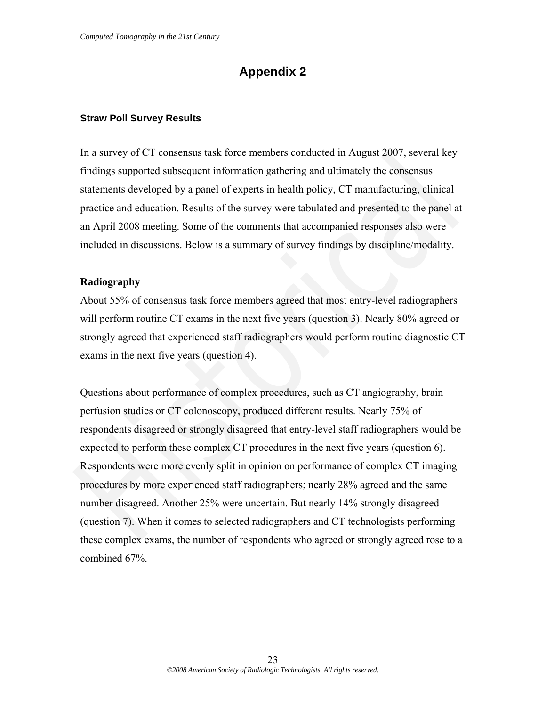# **Appendix 2**

#### **Straw Poll Survey Results**

In a survey of CT consensus task force members conducted in August 2007, several key findings supported subsequent information gathering and ultimately the consensus statements developed by a panel of experts in health policy, CT manufacturing, clinical practice and education. Results of the survey were tabulated and presented to the panel at an April 2008 meeting. Some of the comments that accompanied responses also were included in discussions. Below is a summary of survey findings by discipline/modality.

#### **Radiography**

About 55% of consensus task force members agreed that most entry-level radiographers will perform routine CT exams in the next five years (question 3). Nearly 80% agreed or strongly agreed that experienced staff radiographers would perform routine diagnostic CT exams in the next five years (question 4).

Questions about performance of complex procedures, such as CT angiography, brain perfusion studies or CT colonoscopy, produced different results. Nearly 75% of respondents disagreed or strongly disagreed that entry-level staff radiographers would be expected to perform these complex CT procedures in the next five years (question 6). Respondents were more evenly split in opinion on performance of complex CT imaging procedures by more experienced staff radiographers; nearly 28% agreed and the same number disagreed. Another 25% were uncertain. But nearly 14% strongly disagreed (question 7). When it comes to selected radiographers and CT technologists performing these complex exams, the number of respondents who agreed or strongly agreed rose to a combined 67%. In a survey of CT consensus task foree members conducted in August 2007, several key<br>findings supported subsequent information gathering and ultimately the consensus<br>statements developed by a panel of experts in health pol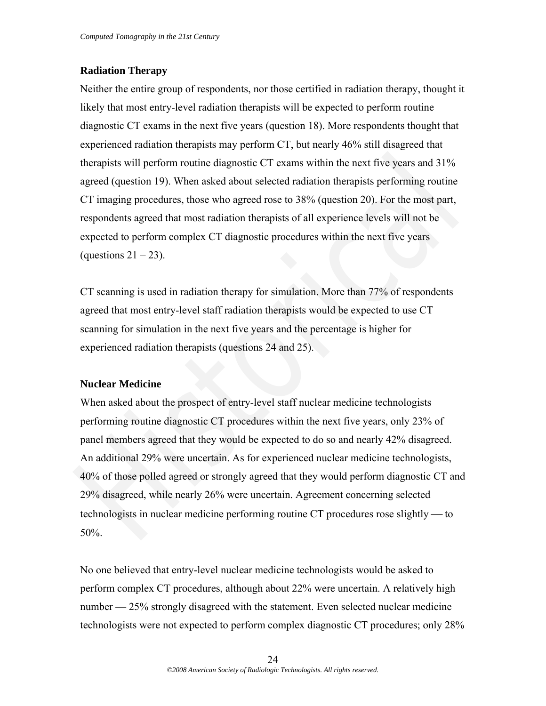# **Radiation Therapy**

Neither the entire group of respondents, nor those certified in radiation therapy, thought it likely that most entry-level radiation therapists will be expected to perform routine diagnostic CT exams in the next five years (question 18). More respondents thought that experienced radiation therapists may perform CT, but nearly 46% still disagreed that therapists will perform routine diagnostic CT exams within the next five years and 31% agreed (question 19). When asked about selected radiation therapists performing routine CT imaging procedures, those who agreed rose to 38% (question 20). For the most part, respondents agreed that most radiation therapists of all experience levels will not be expected to perform complex CT diagnostic procedures within the next five years (questions  $21 - 23$ ).

CT scanning is used in radiation therapy for simulation. More than 77% of respondents agreed that most entry-level staff radiation therapists would be expected to use CT scanning for simulation in the next five years and the percentage is higher for experienced radiation therapists (questions 24 and 25).

# **Nuclear Medicine**

When asked about the prospect of entry-level staff nuclear medicine technologists performing routine diagnostic CT procedures within the next five years, only 23% of panel members agreed that they would be expected to do so and nearly 42% disagreed. An additional 29% were uncertain. As for experienced nuclear medicine technologists, 40% of those polled agreed or strongly agreed that they would perform diagnostic CT and 29% disagreed, while nearly 26% were uncertain. Agreement concerning selected technologists in nuclear medicine performing routine CT procedures rose slightly — to 50%. therapists will perform routine diagnostic CT exams within the next five years and 31%<br>agreed (question 19). When asked about selected radiation therapists performing routine<br>CT imaging procedures, those who agreed rose to

No one believed that entry-level nuclear medicine technologists would be asked to perform complex CT procedures, although about 22% were uncertain. A relatively high number — 25% strongly disagreed with the statement. Even selected nuclear medicine technologists were not expected to perform complex diagnostic CT procedures; only 28%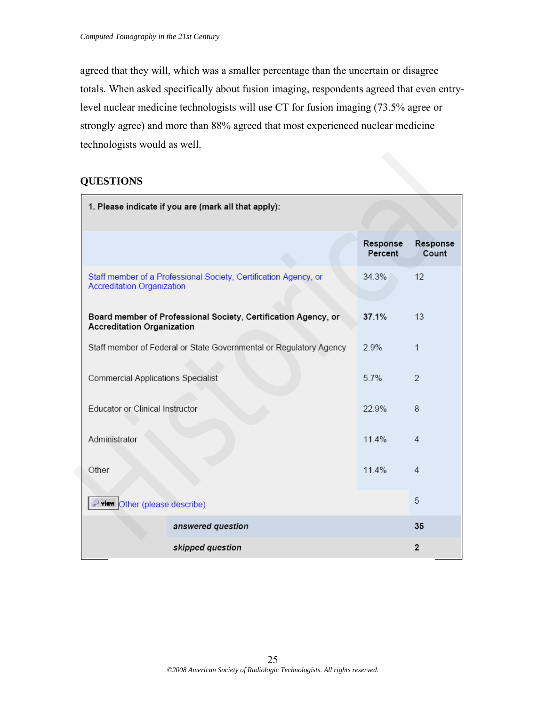agreed that they will, which was a smaller percentage than the uncertain or disagree totals. When asked specifically about fusion imaging, respondents agreed that even entrylevel nuclear medicine technologists will use CT for fusion imaging (73.5% agree or strongly agree) and more than 88% agreed that most experienced nuclear medicine technologists would as well.

# **QUESTIONS**

| <b>QUESTIONS</b>                                                                                      |                     |                   |
|-------------------------------------------------------------------------------------------------------|---------------------|-------------------|
| 1. Please indicate if you are (mark all that apply):                                                  |                     |                   |
|                                                                                                       | Response<br>Percent | Response<br>Count |
| Staff member of a Professional Society, Certification Agency, or<br><b>Accreditation Organization</b> | 34.3%               | 12                |
| Board member of Professional Society, Certification Agency, or<br><b>Accreditation Organization</b>   | 37.1%               | 13                |
| Staff member of Federal or State Governmental or Regulatory Agency                                    | 2.9%                | $\mathbf{1}$      |
| <b>Commercial Applications Specialist</b>                                                             | 5.7%                | $\overline{2}$    |
| Educator or Clinical Instructor                                                                       | 22.9%               | 8                 |
| Administrator                                                                                         | 11.4%               | 4                 |
| Other                                                                                                 | 11.4%               | $\overline{4}$    |
| Prior Other (please describe)                                                                         |                     | 5                 |
| answered question                                                                                     |                     | 35                |
| skipped question                                                                                      |                     | $\overline{2}$    |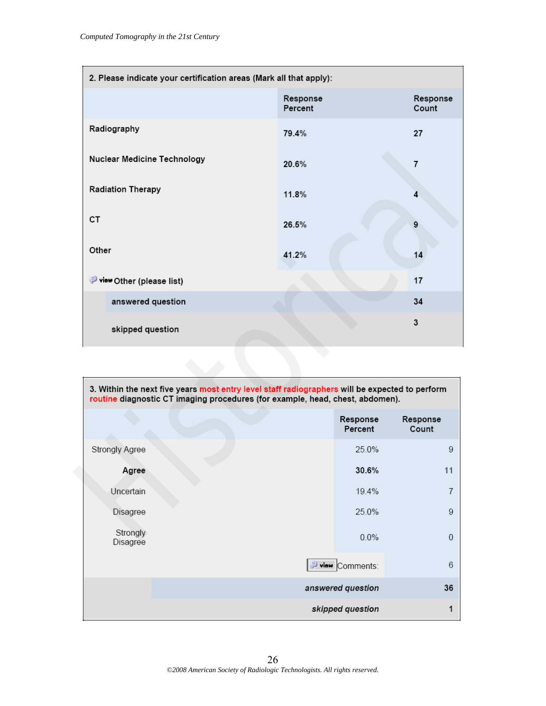| 2. Please indicate your certification areas (Mark all that apply): |                                                                                                                                                                                 |                   |
|--------------------------------------------------------------------|---------------------------------------------------------------------------------------------------------------------------------------------------------------------------------|-------------------|
|                                                                    | Response<br>Percent                                                                                                                                                             | Response<br>Count |
| Radiography                                                        | 79.4%                                                                                                                                                                           | 27                |
| Nuclear Medicine Technology                                        | 20.6%                                                                                                                                                                           | $\overline{7}$    |
| <b>Radiation Therapy</b>                                           | 11.8%                                                                                                                                                                           | 4                 |
| CT                                                                 | 26.5%                                                                                                                                                                           | 9                 |
| Other                                                              | 41.2%                                                                                                                                                                           | 14                |
| view Other (please list)                                           |                                                                                                                                                                                 | 17                |
| answered question                                                  |                                                                                                                                                                                 | 34                |
| skipped question                                                   |                                                                                                                                                                                 | 3                 |
|                                                                    | 3. Within the next five years most entry level staff radiographers will be expected to perform<br>routine diagnostic CT imaging procedures (for example, head, chest, abdomen). |                   |
|                                                                    | Response<br>Percent                                                                                                                                                             | Response<br>Count |
| Strongly Agree                                                     | 25.0%                                                                                                                                                                           | 9                 |
| Agree                                                              | 30.6%                                                                                                                                                                           | 11                |
| Uncertain                                                          | 19.4%                                                                                                                                                                           | $\overline{7}$    |
| Disagree                                                           | 25.0%                                                                                                                                                                           | 9                 |
| Stronaly                                                           |                                                                                                                                                                                 |                   |

|                       | 3. Within the next five years most entry level staff radiographers will be expected to perform<br>routine diagnostic CT imaging procedures (for example, head, chest, abdomen). |                   |
|-----------------------|---------------------------------------------------------------------------------------------------------------------------------------------------------------------------------|-------------------|
|                       | Response<br>Percent                                                                                                                                                             | Response<br>Count |
| <b>Strongly Agree</b> | 25.0%                                                                                                                                                                           | 9                 |
| Agree                 | 30.6%                                                                                                                                                                           | 11                |
| Uncertain             | 19.4%                                                                                                                                                                           | $\overline{7}$    |
| Disagree              | 25.0%                                                                                                                                                                           | 9                 |
| Strongly<br>Disagree  | $0.0\%$                                                                                                                                                                         | $\Omega$          |
|                       | $\Rightarrow$ view Comments:                                                                                                                                                    | 6                 |
|                       | answered question                                                                                                                                                               | 36                |
|                       | skipped question                                                                                                                                                                |                   |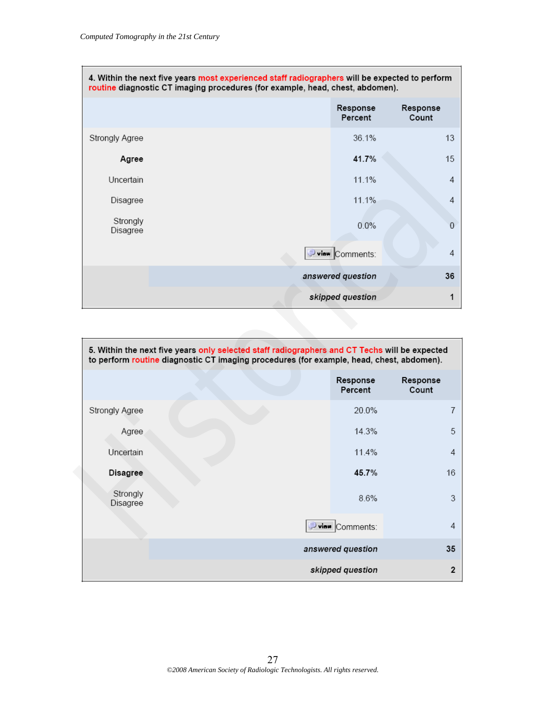$\Box$ 

|                      | 4. Within the next five years most experienced staff radiographers will be expected to perform<br>routine diagnostic CT imaging procedures (for example, head, chest, abdomen). |                                |                   |
|----------------------|---------------------------------------------------------------------------------------------------------------------------------------------------------------------------------|--------------------------------|-------------------|
|                      |                                                                                                                                                                                 | Response<br>Percent            | Response<br>Count |
| Strongly Agree       |                                                                                                                                                                                 | 36.1%                          | 13                |
| Agree                |                                                                                                                                                                                 | 41.7%                          | 15                |
| Uncertain            |                                                                                                                                                                                 | 11.1%                          | 4                 |
| Disagree             |                                                                                                                                                                                 | 11.1%                          | 4                 |
| Strongly<br>Disagree |                                                                                                                                                                                 | 0.0%                           | 0                 |
|                      |                                                                                                                                                                                 | $\triangleright$ iaw Comments: | 4                 |
|                      |                                                                                                                                                                                 | answered question              | 36                |
|                      |                                                                                                                                                                                 | skipped question               |                   |

| Agree                |                                                                                               | 41.7%               | 15                |
|----------------------|-----------------------------------------------------------------------------------------------|---------------------|-------------------|
| Uncertain            |                                                                                               | 11.1%               | $\overline{4}$    |
| Disagree             |                                                                                               | 11.1%               | 4                 |
| Strongly<br>Disagree |                                                                                               | 0.0%                | $\overline{0}$    |
|                      |                                                                                               | Pview Comments:     | $\overline{4}$    |
|                      |                                                                                               | answered question   | 36                |
|                      |                                                                                               | skipped question    | 1                 |
|                      |                                                                                               |                     |                   |
|                      | 5. Within the next five years only selected staff radiographers and CT Techs will be expected |                     |                   |
|                      | to perform routine diagnostic CT imaging procedures (for example, head, chest, abdomen).      |                     |                   |
|                      |                                                                                               | Response<br>Percent | Response<br>Count |
| Strongly Agree       |                                                                                               | 20.0%               | $\overline{7}$    |
| Agree                |                                                                                               | 14.3%               | 5                 |
| Uncertain            |                                                                                               | 11.4%               | 4                 |
| <b>Disagree</b>      |                                                                                               | 45.7%               | 16                |
| Strongly<br>Disagree |                                                                                               | 8.6%                | 3                 |
|                      |                                                                                               | Dvian Comments:     | $\overline{4}$    |
|                      |                                                                                               | answered question   | 35                |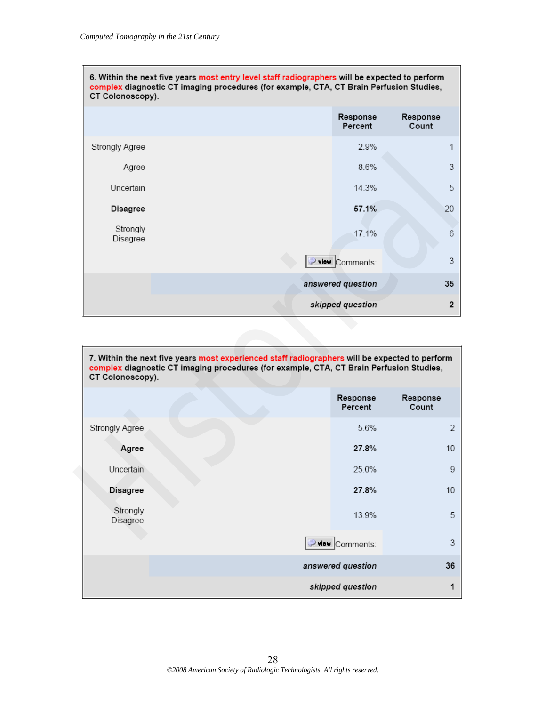| 6. Within the next five years most entry level staff radiographers will be expected to perform<br>complex diagnostic CT imaging procedures (for example, CTA, CT Brain Perfusion Studies,<br>CT Colonoscopy). |  |                     |                   |
|---------------------------------------------------------------------------------------------------------------------------------------------------------------------------------------------------------------|--|---------------------|-------------------|
|                                                                                                                                                                                                               |  | Response<br>Percent | Response<br>Count |
| Strongly Agree                                                                                                                                                                                                |  | 2.9%                | 1                 |
| Agree                                                                                                                                                                                                         |  | 8.6%                | 3                 |
| Uncertain                                                                                                                                                                                                     |  | 14.3%               | 5                 |
| Disagree                                                                                                                                                                                                      |  | 57.1%               | 20                |
| Strongly<br>Disagree                                                                                                                                                                                          |  | 17.1%               | 6                 |
|                                                                                                                                                                                                               |  | view Comments:      | 3                 |
|                                                                                                                                                                                                               |  | answered question   | 35                |
|                                                                                                                                                                                                               |  | skipped question    | $\overline{2}$    |

| ouongry ngroo        |                                                                                                                                                                                           |                     |                         |
|----------------------|-------------------------------------------------------------------------------------------------------------------------------------------------------------------------------------------|---------------------|-------------------------|
| Agree                |                                                                                                                                                                                           | 8.6%                | 3                       |
| Uncertain            |                                                                                                                                                                                           | 14.3%               | 5                       |
| Disagree             |                                                                                                                                                                                           | 57.1%               | 20                      |
| Strongly<br>Disagree |                                                                                                                                                                                           | 17.1%               | 6                       |
|                      |                                                                                                                                                                                           | view Comments:      | 3                       |
|                      |                                                                                                                                                                                           | answered question   | 35                      |
|                      |                                                                                                                                                                                           | skipped question    | $\overline{\mathbf{2}}$ |
| CT Colonoscopy).     | 7. Within the next five years most experienced staff radiographers will be expected to perform<br>complex diagnostic CT imaging procedures (for example, CTA, CT Brain Perfusion Studies, |                     |                         |
|                      |                                                                                                                                                                                           | Response<br>Percent | Response<br>Count       |
| Strongly Agree       |                                                                                                                                                                                           | 5.6%                | $\overline{2}$          |
| Agree                |                                                                                                                                                                                           | 27.8%               | 10                      |
| Uncertain            |                                                                                                                                                                                           | 25.0%               | 9                       |
|                      |                                                                                                                                                                                           |                     |                         |
| <b>Disagree</b>      |                                                                                                                                                                                           | 27.8%               | 10                      |
| Strongly<br>Disagree |                                                                                                                                                                                           | 13.9%               | 5                       |
|                      |                                                                                                                                                                                           | Pview Comments:     | 3                       |
|                      |                                                                                                                                                                                           | answered question   | 36                      |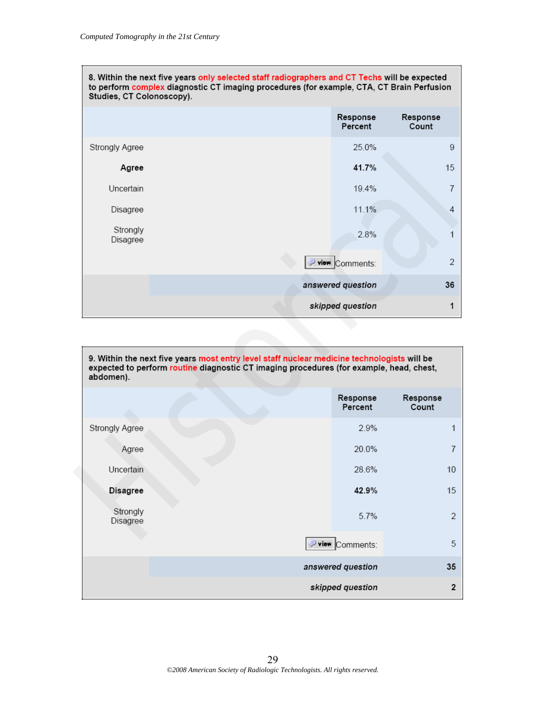| 8. Within the next five years only selected staff radiographers and CT Techs will be expected<br>to perform complex diagnostic CT imaging procedures (for example, CTA, CT Brain Perfusion<br>Studies, CT Colonoscopy). |  |                     |                   |
|-------------------------------------------------------------------------------------------------------------------------------------------------------------------------------------------------------------------------|--|---------------------|-------------------|
|                                                                                                                                                                                                                         |  | Response<br>Percent | Response<br>Count |
| Strongly Agree                                                                                                                                                                                                          |  | 25.0%               | 9                 |
| Agree                                                                                                                                                                                                                   |  | 41.7%               | 15                |
| Uncertain                                                                                                                                                                                                               |  | 19.4%               |                   |
| Disagree                                                                                                                                                                                                                |  | 11.1%               | 4                 |
| Strongly<br>Disagree                                                                                                                                                                                                    |  | 2.8%                |                   |
|                                                                                                                                                                                                                         |  | view Comments:      | $\mathfrak{D}$    |
|                                                                                                                                                                                                                         |  | answered question   | 36                |
|                                                                                                                                                                                                                         |  | skipped question    |                   |

| ouongry zigroo       |                                                                                                                                                                                        | 20.070              |                   |
|----------------------|----------------------------------------------------------------------------------------------------------------------------------------------------------------------------------------|---------------------|-------------------|
| Agree                |                                                                                                                                                                                        | 41.7%               | 15                |
| Uncertain            |                                                                                                                                                                                        | 19.4%               | $\overline{7}$    |
| Disagree             |                                                                                                                                                                                        | 11.1%               | 4                 |
| Strongly<br>Disagree |                                                                                                                                                                                        | 2.8%                | 1                 |
|                      |                                                                                                                                                                                        | P view Comments:    | $\overline{2}$    |
|                      |                                                                                                                                                                                        | answered question   | 36                |
|                      |                                                                                                                                                                                        | skipped question    | 1                 |
|                      |                                                                                                                                                                                        |                     |                   |
| abdomen).            | 9. Within the next five years most entry level staff nuclear medicine technologists will be<br>expected to perform routine diagnostic CT imaging procedures (for example, head, chest, |                     |                   |
|                      |                                                                                                                                                                                        | Response<br>Percent | Response<br>Count |
| Strongly Agree       |                                                                                                                                                                                        | 2.9%                | 1                 |
| Agree                |                                                                                                                                                                                        | 20.0%               | $\overline{I}$    |
| Uncertain            |                                                                                                                                                                                        | 28.6%               | 10                |
| <b>Disagree</b>      |                                                                                                                                                                                        | 42.9%               | 15                |
| Strongly<br>Disagree |                                                                                                                                                                                        | 5.7%                | $\overline{2}$    |
|                      |                                                                                                                                                                                        | Pview Comments:     | 5                 |
|                      |                                                                                                                                                                                        | answered question   | 35                |
|                      |                                                                                                                                                                                        |                     |                   |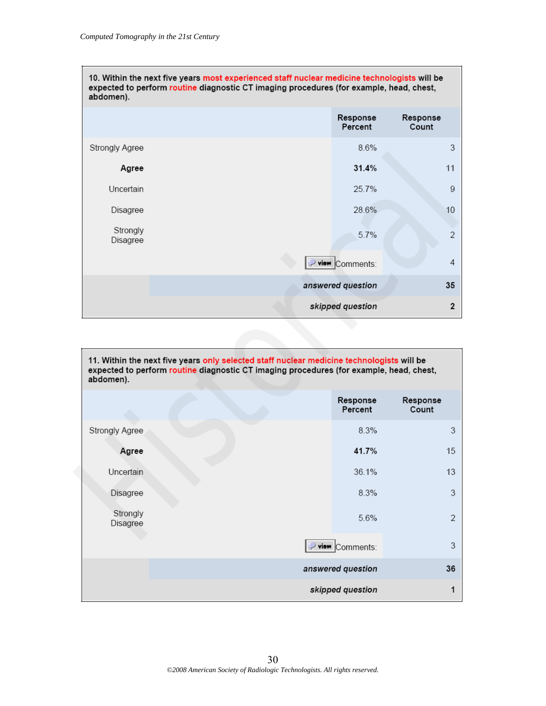| 10. Within the next five years most experienced staff nuclear medicine technologists will be<br>expected to perform routine diagnostic CT imaging procedures (for example, head, chest,<br>abdomen). |  |                     |                   |
|------------------------------------------------------------------------------------------------------------------------------------------------------------------------------------------------------|--|---------------------|-------------------|
|                                                                                                                                                                                                      |  | Response<br>Percent | Response<br>Count |
| Strongly Agree                                                                                                                                                                                       |  | 8.6%                | 3                 |
| Agree                                                                                                                                                                                                |  | 31.4%               | 11                |
| Uncertain                                                                                                                                                                                            |  | 25.7%               | 9                 |
| Disagree                                                                                                                                                                                             |  | 28.6%               | 10                |
| Strongly<br>Disagree                                                                                                                                                                                 |  | 5.7%                | $\overline{2}$    |
|                                                                                                                                                                                                      |  | view Comments:      | 4                 |
|                                                                                                                                                                                                      |  | answered question   | 35                |
|                                                                                                                                                                                                      |  | skipped question    | $\overline{2}$    |

| ən onyiy Ayree       |                                                                                         | 0.070               | ັ                 |
|----------------------|-----------------------------------------------------------------------------------------|---------------------|-------------------|
| Agree                |                                                                                         | 31.4%               | 11                |
| Uncertain            |                                                                                         | 25.7%               | 9                 |
| Disagree             |                                                                                         | 28.6%               | 10                |
| Strongly<br>Disagree |                                                                                         | 5.7%                | $\overline{2}$    |
|                      |                                                                                         | P view Comments:    | $\overline{4}$    |
|                      |                                                                                         | answered question   | 35                |
|                      |                                                                                         | skipped question    | $\mathbf 2$       |
|                      |                                                                                         |                     |                   |
| abdomen).            | expected to perform routine diagnostic CT imaging procedures (for example, head, chest, | Response<br>Percent | Response<br>Count |
| Strongly Agree       |                                                                                         | 8.3%                | 3                 |
| Agree                |                                                                                         | 41.7%               | 15                |
| Uncertain            |                                                                                         | 36.1%               | 13                |
| Disagree             |                                                                                         | 8.3%                | 3                 |
| Strongly<br>Disagree |                                                                                         | 5.6%                | $\overline{2}$    |
|                      |                                                                                         | Pview Comments:     | 3                 |
|                      |                                                                                         | answered question   | 36                |
|                      |                                                                                         |                     |                   |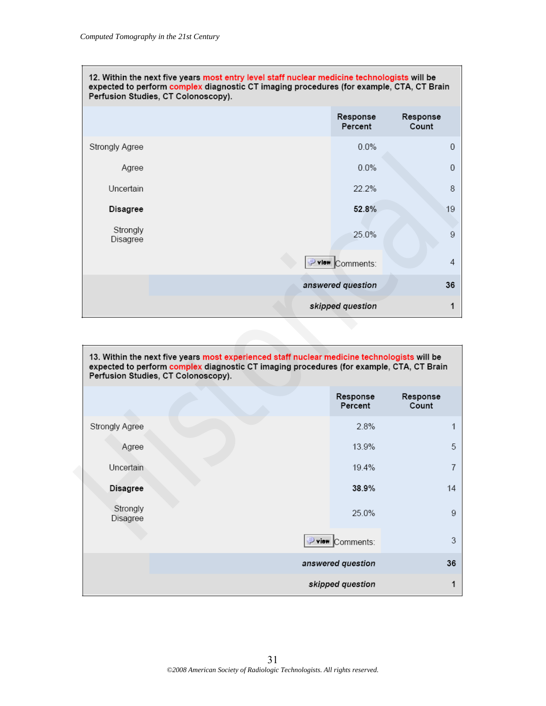| 12. Within the next five years most entry level staff nuclear medicine technologists will be<br>expected to perform complex diagnostic CT imaging procedures (for example, CTA, CT Brain<br>Perfusion Studies, CT Colonoscopy). |  |                     |                   |
|---------------------------------------------------------------------------------------------------------------------------------------------------------------------------------------------------------------------------------|--|---------------------|-------------------|
|                                                                                                                                                                                                                                 |  | Response<br>Percent | Response<br>Count |
| Strongly Agree                                                                                                                                                                                                                  |  | $0.0\%$             | 0                 |
| Agree                                                                                                                                                                                                                           |  | 0.0%                | 0                 |
| Uncertain                                                                                                                                                                                                                       |  | 22.2%               | 8                 |
| Disagree                                                                                                                                                                                                                        |  | 52.8%               | 19                |
| Strongly<br>Disagree                                                                                                                                                                                                            |  | 25.0%               | 9                 |
|                                                                                                                                                                                                                                 |  | vlew Comments:      | 4                 |
|                                                                                                                                                                                                                                 |  | answered question   | 36                |
|                                                                                                                                                                                                                                 |  | skipped question    |                   |

| wongry ngroo         |                                                                                                                                                                                                                                 |                     |                   |
|----------------------|---------------------------------------------------------------------------------------------------------------------------------------------------------------------------------------------------------------------------------|---------------------|-------------------|
| Agree                |                                                                                                                                                                                                                                 | 0.0%                | 0                 |
| Uncertain            |                                                                                                                                                                                                                                 | 22.2%               | 8                 |
| Disagree             |                                                                                                                                                                                                                                 | 52.8%               | 19                |
| Strongly<br>Disagree |                                                                                                                                                                                                                                 | 25.0%               | $\overline{9}$    |
|                      |                                                                                                                                                                                                                                 | Pylow Comments:     | 4                 |
|                      |                                                                                                                                                                                                                                 | answered question   | 36                |
|                      |                                                                                                                                                                                                                                 | skipped question    | 1                 |
|                      |                                                                                                                                                                                                                                 |                     |                   |
|                      | 13. Within the next five years most experienced staff nuclear medicine technologists will be<br>expected to perform complex diagnostic CT imaging procedures (for example, CTA, CT Brain<br>Perfusion Studies, CT Colonoscopy). |                     |                   |
|                      |                                                                                                                                                                                                                                 | Response<br>Percent | Response<br>Count |
| Strongly Agree       |                                                                                                                                                                                                                                 | 2.8%                | 1                 |
| Agree                |                                                                                                                                                                                                                                 | 13.9%               | 5                 |
| Uncertain            |                                                                                                                                                                                                                                 | 19.4%               | $\overline{7}$    |
| <b>Disagree</b>      |                                                                                                                                                                                                                                 | 38.9%               | 14                |
| Strongly<br>Disagree |                                                                                                                                                                                                                                 | 25.0%               | $\boldsymbol{9}$  |
|                      |                                                                                                                                                                                                                                 | Pview Comments:     | 3                 |
|                      |                                                                                                                                                                                                                                 | answered question   | 36                |
|                      |                                                                                                                                                                                                                                 |                     |                   |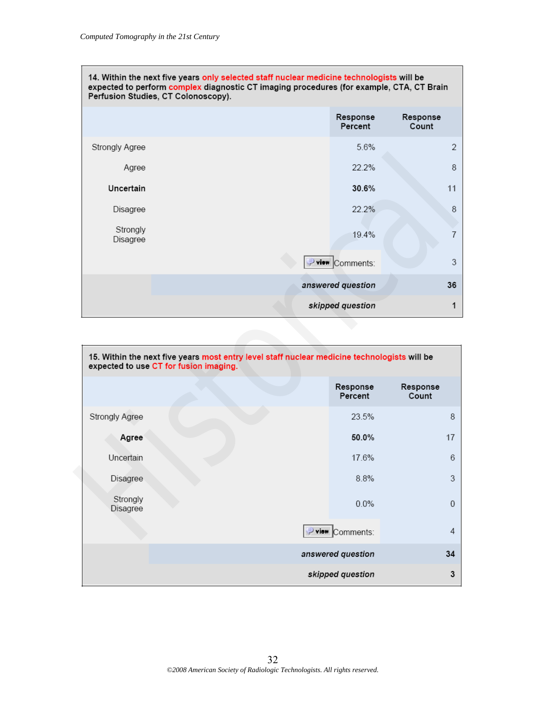| 14. Within the next five years only selected staff nuclear medicine technologists will be<br>expected to perform complex diagnostic CT imaging procedures (for example, CTA, CT Brain<br>Perfusion Studies, CT Colonoscopy). |  |                     |                   |
|------------------------------------------------------------------------------------------------------------------------------------------------------------------------------------------------------------------------------|--|---------------------|-------------------|
|                                                                                                                                                                                                                              |  | Response<br>Percent | Response<br>Count |
| Strongly Agree                                                                                                                                                                                                               |  | 5.6%                | $\overline{2}$    |
| Agree                                                                                                                                                                                                                        |  | 22.2%               | 8                 |
| Uncertain                                                                                                                                                                                                                    |  | 30.6%               | 11                |
| Disagree                                                                                                                                                                                                                     |  | 22.2%               | 8                 |
| Strongly<br>Disagree                                                                                                                                                                                                         |  | 19.4%               | 7                 |
|                                                                                                                                                                                                                              |  | view Comments:      | 3                 |
|                                                                                                                                                                                                                              |  | answered question   | 36                |
|                                                                                                                                                                                                                              |  | skipped question    |                   |

| Agree                |                                                                                                                                        | 22.2%               | 8                 |  |
|----------------------|----------------------------------------------------------------------------------------------------------------------------------------|---------------------|-------------------|--|
| Uncertain            |                                                                                                                                        | 30.6%               | 11                |  |
| Disagree             |                                                                                                                                        | 22.2%               | 8                 |  |
| Strongly<br>Disagree |                                                                                                                                        | 19.4%               | $\overline{7}$    |  |
|                      |                                                                                                                                        | P view Comments:    | 3                 |  |
|                      |                                                                                                                                        | answered question   | 36                |  |
|                      |                                                                                                                                        | skipped question    | 1                 |  |
|                      |                                                                                                                                        |                     |                   |  |
|                      | 15. Within the next five years most entry level staff nuclear medicine technologists will be<br>expected to use CT for fusion imaging. |                     |                   |  |
|                      |                                                                                                                                        |                     |                   |  |
|                      |                                                                                                                                        | Response<br>Percent | Response<br>Count |  |
| Strongly Agree       |                                                                                                                                        | 23.5%               | 8                 |  |
| Agree                |                                                                                                                                        | 50.0%               | 17                |  |
| Uncertain            |                                                                                                                                        | 17.6%               | 6                 |  |
| Disagree             |                                                                                                                                        | 8.8%                | 3                 |  |
| Strongly<br>Disagree |                                                                                                                                        | 0.0%                | $\boldsymbol{0}$  |  |
|                      |                                                                                                                                        | view Comments:      | $\sqrt{4}$        |  |
|                      |                                                                                                                                        | answered question   | 34                |  |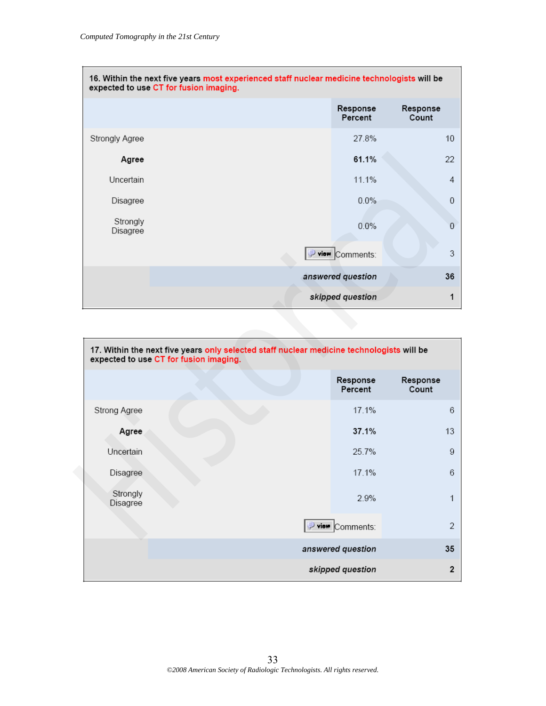| 16. Within the next five years most experienced staff nuclear medicine technologists will be<br>expected to use CT for fusion imaging. |  |                     |                   |
|----------------------------------------------------------------------------------------------------------------------------------------|--|---------------------|-------------------|
|                                                                                                                                        |  | Response<br>Percent | Response<br>Count |
| Strongly Agree                                                                                                                         |  | 27.8%               | 10                |
| Agree                                                                                                                                  |  | 61.1%               | 22                |
| Uncertain                                                                                                                              |  | 11.1%               | 4                 |
| Disagree                                                                                                                               |  | 0.0%                | $\theta$          |
| Strongly<br>Disagree                                                                                                                   |  | 0.0%                | $\Omega$          |
|                                                                                                                                        |  | view Comments:      | 3                 |
|                                                                                                                                        |  | answered question   | 36                |
|                                                                                                                                        |  | skipped question    |                   |

| Agree                |                                                                                                                                     | 61.1%               | 22                |
|----------------------|-------------------------------------------------------------------------------------------------------------------------------------|---------------------|-------------------|
| Uncertain            |                                                                                                                                     | 11.1%               | $\overline{4}$    |
| Disagree             |                                                                                                                                     | 0.0%                | $\,0$             |
| Strongly<br>Disagree |                                                                                                                                     | 0.0%                | $\mathbf 0$       |
|                      |                                                                                                                                     | Pview Comments:     | 3                 |
|                      |                                                                                                                                     | answered question   | 36                |
|                      |                                                                                                                                     | skipped question    | 1                 |
|                      |                                                                                                                                     |                     |                   |
|                      | 17. Within the next five years only selected staff nuclear medicine technologists will be<br>expected to use CT for fusion imaging. |                     |                   |
|                      |                                                                                                                                     | Response<br>Percent | Response<br>Count |
| Strong Agree         |                                                                                                                                     | 17.1%               | $_{\rm 6}$        |
| Agree                |                                                                                                                                     | 37.1%               | 13                |
| Uncertain            |                                                                                                                                     | 25.7%               | 9                 |
|                      |                                                                                                                                     |                     |                   |
| Disagree             |                                                                                                                                     | 17.1%               | $_{\rm 6}$        |
| Strongly<br>Disagree |                                                                                                                                     | 2.9%                | $\mathbf{1}$      |
|                      |                                                                                                                                     | P view Comments:    | $\overline{2}$    |
|                      |                                                                                                                                     | answered question   | 35                |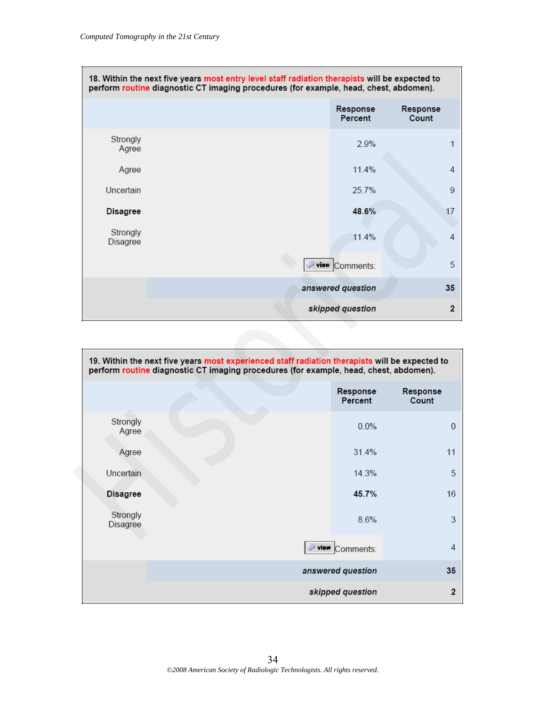| 18. Within the next five years most entry level staff radiation therapists will be expected to<br>perform routine diagnostic CT imaging procedures (for example, head, chest, abdomen). |  |                     |                   |
|-----------------------------------------------------------------------------------------------------------------------------------------------------------------------------------------|--|---------------------|-------------------|
|                                                                                                                                                                                         |  | Response<br>Percent | Response<br>Count |
| Strongly<br>Agree                                                                                                                                                                       |  | 2.9%                |                   |
| Agree                                                                                                                                                                                   |  | 11.4%               | 4                 |
| <b>Uncertain</b>                                                                                                                                                                        |  | 25.7%               | 9                 |
| Disagree                                                                                                                                                                                |  | 48.6%               | 17                |
| Strongly<br>Disagree                                                                                                                                                                    |  | 11.4%               | 4                 |
|                                                                                                                                                                                         |  | view Comments:      | 5                 |
|                                                                                                                                                                                         |  | answered question   | 35                |
|                                                                                                                                                                                         |  | skipped question    | $\overline{2}$    |

| Ayıee                |                                                                                                                                                                                         |                     |                   |
|----------------------|-----------------------------------------------------------------------------------------------------------------------------------------------------------------------------------------|---------------------|-------------------|
| Agree                |                                                                                                                                                                                         | 11.4%               | 4                 |
| Uncertain            |                                                                                                                                                                                         | 25.7%               | 9                 |
| Disagree             |                                                                                                                                                                                         | 48.6%               | 17                |
| Strongly<br>Disagree |                                                                                                                                                                                         | 11.4%               | $\overline{4}$    |
|                      |                                                                                                                                                                                         | Pview Comments:     | 5                 |
|                      |                                                                                                                                                                                         | answered question   | 35                |
|                      |                                                                                                                                                                                         | skipped question    | $\mathbf 2$       |
|                      |                                                                                                                                                                                         |                     |                   |
|                      | 19. Within the next five years most experienced staff radiation therapists will be expected to<br>perform routine diagnostic CT imaging procedures (for example, head, chest, abdomen). |                     |                   |
|                      |                                                                                                                                                                                         | Response<br>Percent | Response<br>Count |
| Strongly<br>Agree    |                                                                                                                                                                                         | 0.0%                | $\mathbf 0$       |
| Agree                |                                                                                                                                                                                         | 31.4%               | 11                |
| Uncertain            |                                                                                                                                                                                         | 14.3%               | 5                 |
| <b>Disagree</b>      |                                                                                                                                                                                         | 45.7%               | 16                |
| Strongly<br>Disagree |                                                                                                                                                                                         | 8.6%                | 3                 |
|                      |                                                                                                                                                                                         | P view Comments:    | 4                 |
|                      |                                                                                                                                                                                         | answered question   | 35                |
|                      |                                                                                                                                                                                         | skipped question    | $\overline{2}$    |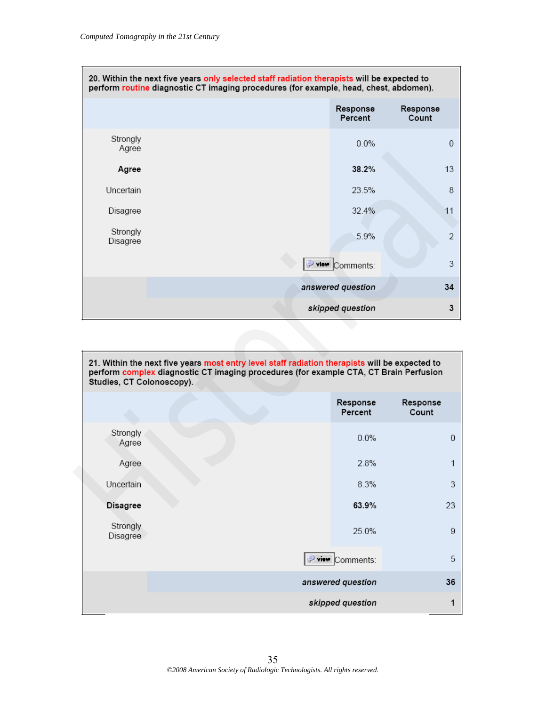| 20. Within the next five years only selected staff radiation therapists will be expected to<br>perform routine diagnostic CT imaging procedures (for example, head, chest, abdomen). |  |                     |                   |
|--------------------------------------------------------------------------------------------------------------------------------------------------------------------------------------|--|---------------------|-------------------|
|                                                                                                                                                                                      |  | Response<br>Percent | Response<br>Count |
| Strongly<br>Agree                                                                                                                                                                    |  | 0.0%                | $\Omega$          |
| Agree                                                                                                                                                                                |  | 38.2%               | 13                |
| Uncertain                                                                                                                                                                            |  | 23.5%               | 8                 |
| Disagree                                                                                                                                                                             |  | 32.4%               | 11                |
| Strongly<br>Disagree                                                                                                                                                                 |  | 5.9%                | 2                 |
|                                                                                                                                                                                      |  | view Comments:      | 3                 |
|                                                                                                                                                                                      |  | answered question   | 34                |
|                                                                                                                                                                                      |  | skipped question    | 3                 |

| unice                     |                                                                                       |                     |                   |
|---------------------------|---------------------------------------------------------------------------------------|---------------------|-------------------|
| Agree                     |                                                                                       | 38.2%               | 13                |
| Uncertain                 |                                                                                       | 23.5%               | 8                 |
| Disagree                  |                                                                                       | 32.4%               | 11                |
| Strongly<br>Disagree      |                                                                                       | 5.9%                | $\overline{2}$    |
|                           |                                                                                       | P view Comments:    | 3                 |
|                           |                                                                                       | answered question   | 34                |
|                           |                                                                                       | skipped question    | 3                 |
|                           |                                                                                       |                     |                   |
| Studies, CT Colonoscopy). | perform complex diagnostic CT imaging procedures (for example CTA, CT Brain Perfusion | Response<br>Percent | Response<br>Count |
| Strongly<br>Agree         |                                                                                       | $0.0\%$             | $\boldsymbol{0}$  |
| Agree                     |                                                                                       | 2.8%                | $\mathbf{1}$      |
| Uncertain                 |                                                                                       | 8.3%                | 3                 |
| <b>Disagree</b>           |                                                                                       | 63.9%               | 23                |
| Strongly<br>Disagree      |                                                                                       | 25.0%               | 9                 |
|                           |                                                                                       | view Comments:      | 5                 |
|                           |                                                                                       | answered question   | 36                |
|                           |                                                                                       | skipped question    | 1                 |

35 *©2008 American Society of Radiologic Technologists. All rights reserved.*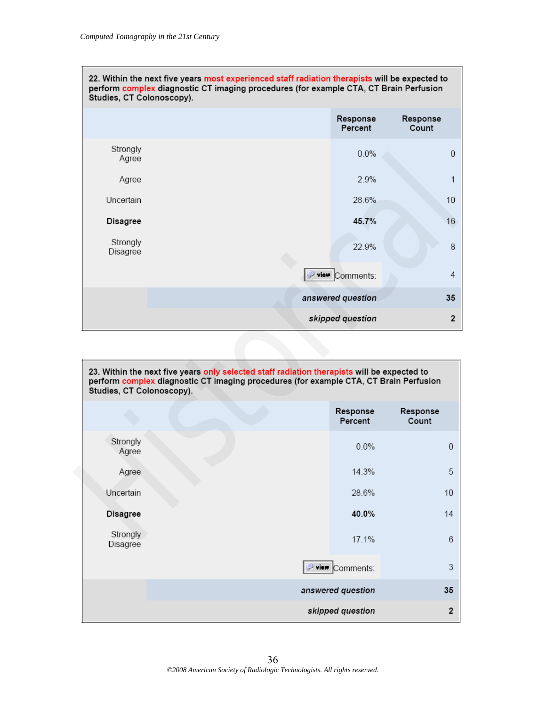| 22. Within the next five years most experienced staff radiation therapists will be expected to<br>perform complex diagnostic CT imaging procedures (for example CTA, CT Brain Perfusion<br>Studies, CT Colonoscopy). |                                                                                                                                                                                      |                        |                   |
|----------------------------------------------------------------------------------------------------------------------------------------------------------------------------------------------------------------------|--------------------------------------------------------------------------------------------------------------------------------------------------------------------------------------|------------------------|-------------------|
|                                                                                                                                                                                                                      |                                                                                                                                                                                      | Response<br>Percent    | Response<br>Count |
| Strongly<br>Agree                                                                                                                                                                                                    |                                                                                                                                                                                      | $0.0\%$                | 0                 |
| Agree                                                                                                                                                                                                                |                                                                                                                                                                                      | 2.9%                   | $\mathbf{1}$      |
| Uncertain                                                                                                                                                                                                            |                                                                                                                                                                                      | 28.6%                  | 10                |
| Disagree                                                                                                                                                                                                             |                                                                                                                                                                                      | 45.7%                  | 16                |
| Strongly<br>Disagree                                                                                                                                                                                                 |                                                                                                                                                                                      | 22.9%                  | 8                 |
|                                                                                                                                                                                                                      |                                                                                                                                                                                      | <b>Prior</b> Comments: | 4                 |
|                                                                                                                                                                                                                      |                                                                                                                                                                                      | answered question      | 35                |
|                                                                                                                                                                                                                      |                                                                                                                                                                                      | skipped question       | $\mathbf 2$       |
| Studies, CT Colonoscopy).                                                                                                                                                                                            | 23. Within the next five years only selected staff radiation therapists will be expected to<br>perform complex diagnostic CT imaging procedures (for example CTA, CT Brain Perfusion |                        |                   |
|                                                                                                                                                                                                                      |                                                                                                                                                                                      | Response<br>Percent    | Response<br>Count |
| Strongly<br>Agree                                                                                                                                                                                                    |                                                                                                                                                                                      | $0.0\%$                | $\overline{0}$    |
| Agree                                                                                                                                                                                                                |                                                                                                                                                                                      | 14.3%                  | 5                 |
| Uncertain                                                                                                                                                                                                            |                                                                                                                                                                                      | 28.6%                  | 10                |
| <b>Disagree</b>                                                                                                                                                                                                      |                                                                                                                                                                                      | 40.0%                  | 14                |
| Stronaly                                                                                                                                                                                                             |                                                                                                                                                                                      |                        |                   |

| 23. Within the next five years only selected staff radiation therapists will be expected to<br>perform complex diagnostic CT imaging procedures (for example CTA, CT Brain Perfusion<br>Studies, CT Colonoscopy). |  |                     |                   |
|-------------------------------------------------------------------------------------------------------------------------------------------------------------------------------------------------------------------|--|---------------------|-------------------|
|                                                                                                                                                                                                                   |  | Response<br>Percent | Response<br>Count |
| Strongly<br>Agree                                                                                                                                                                                                 |  | $0.0\%$             | $\Omega$          |
| Agree                                                                                                                                                                                                             |  | 14.3%               | 5                 |
| Uncertain                                                                                                                                                                                                         |  | 28.6%               | 10                |
| <b>Disagree</b>                                                                                                                                                                                                   |  | 40.0%               | 14                |
| Strongly<br>Disagree                                                                                                                                                                                              |  | 17.1%               | 6                 |
|                                                                                                                                                                                                                   |  | view Comments:      | 3                 |
|                                                                                                                                                                                                                   |  | answered question   | 35                |
|                                                                                                                                                                                                                   |  | skipped question    | $\overline{2}$    |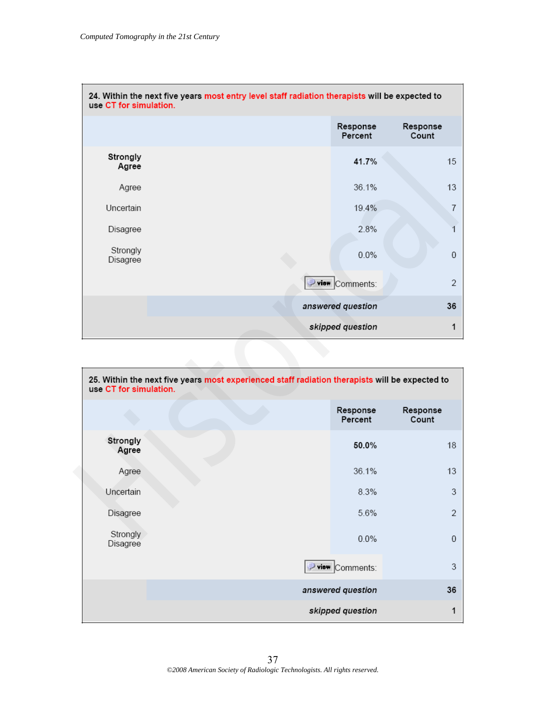| use CT for simulation. | 24. Within the next five years most entry level staff radiation therapists will be expected to                        |                   |
|------------------------|-----------------------------------------------------------------------------------------------------------------------|-------------------|
|                        | Response<br>Percent                                                                                                   | Response<br>Count |
| Strongly<br>Agree      | 41.7%                                                                                                                 | 15                |
| Agree                  | 36.1%                                                                                                                 | 13                |
| Uncertain              | 19.4%                                                                                                                 | $\overline{7}$    |
| Disagree               | 2.8%                                                                                                                  | 1                 |
| Strongly<br>Disagree   | 0.0%                                                                                                                  | $\boldsymbol{0}$  |
|                        | Pview Comments:                                                                                                       | $\overline{2}$    |
|                        | answered question                                                                                                     | 36                |
|                        | skipped question                                                                                                      | 1                 |
| use CT for simulation. | 25. Within the next five years most experienced staff radiation therapists will be expected to<br>Response<br>Percent | Response<br>Count |
| Strongly<br>Agree      | 50.0%                                                                                                                 | 18                |
| Agree                  | 36.1%                                                                                                                 | 13                |
| Uncertain              | 8.3%                                                                                                                  | 3                 |
| Disagree               | 5.6%                                                                                                                  | $\overline{2}$    |
| Stronaly               |                                                                                                                       |                   |

| 25. Within the next five years most experienced staff radiation therapists will be expected to<br>use CT for simulation. |                   |                     |                   |  |
|--------------------------------------------------------------------------------------------------------------------------|-------------------|---------------------|-------------------|--|
|                                                                                                                          |                   | Response<br>Percent | Response<br>Count |  |
| Strongly<br>Agree                                                                                                        |                   | 50.0%               | 18                |  |
| Agree                                                                                                                    |                   | 36.1%               | 13                |  |
| Uncertain                                                                                                                |                   | 8.3%                | 3                 |  |
| Disagree                                                                                                                 |                   | 5.6%                | $\overline{2}$    |  |
| Strongly<br>Disagree                                                                                                     |                   | 0.0%                | $\overline{0}$    |  |
|                                                                                                                          |                   | view Comments:      | 3                 |  |
|                                                                                                                          | answered question |                     | 36                |  |
|                                                                                                                          |                   | skipped question    | 1                 |  |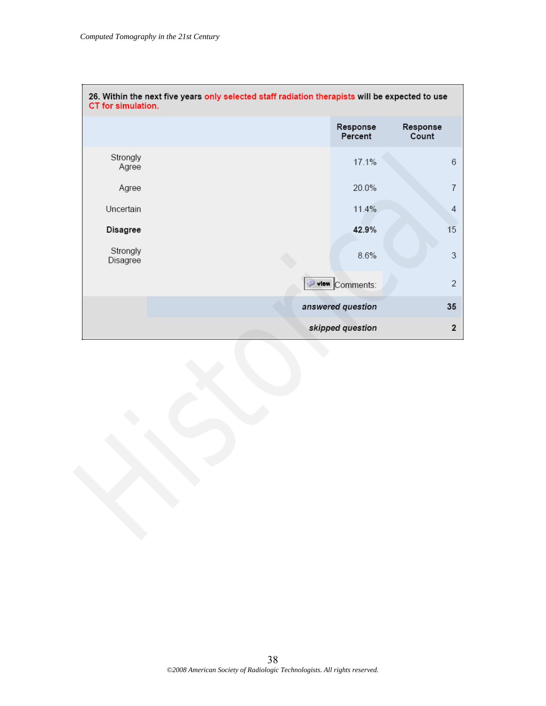| 26. Within the next five years only selected staff radiation therapists will be expected to use<br>CT for simulation. |                   |                     |                           |  |
|-----------------------------------------------------------------------------------------------------------------------|-------------------|---------------------|---------------------------|--|
|                                                                                                                       |                   | Response<br>Percent | Response<br>Count         |  |
| Strongly<br>Agree                                                                                                     |                   | 17.1%               | $\,6$                     |  |
| Agree                                                                                                                 |                   | 20.0%               | $\overline{7}$            |  |
| Uncertain                                                                                                             |                   | 11.4%               | $\overline{4}$            |  |
| Disagree                                                                                                              |                   | 42.9%               | 15                        |  |
| Strongly<br>Disagree                                                                                                  |                   | 8.6%                | $\ensuremath{\mathsf{3}}$ |  |
|                                                                                                                       |                   | P view Comments:    | $\overline{2}$            |  |
|                                                                                                                       | answered question |                     | 35                        |  |
|                                                                                                                       |                   | skipped question    |                           |  |
|                                                                                                                       |                   |                     |                           |  |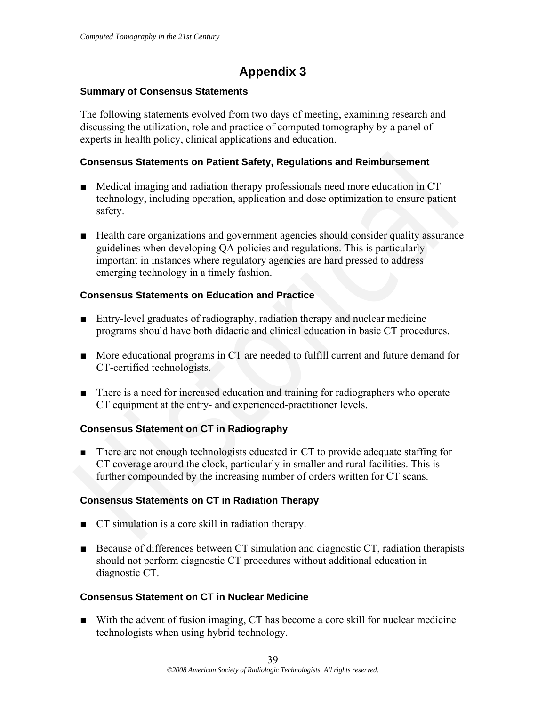# **Appendix 3**

# **Summary of Consensus Statements**

The following statements evolved from two days of meeting, examining research and discussing the utilization, role and practice of computed tomography by a panel of experts in health policy, clinical applications and education.

# **Consensus Statements on Patient Safety, Regulations and Reimbursement**

- Medical imaging and radiation therapy professionals need more education in CT technology, including operation, application and dose optimization to ensure patient safety.
- Health care organizations and government agencies should consider quality assurance guidelines when developing QA policies and regulations. This is particularly important in instances where regulatory agencies are hard pressed to address emerging technology in a timely fashion. **■**Medical imaging and radiation therapy professionals need more education in CT<br> **■Medical imaging and radiation therapy professionals need more education in CT<br>
• technology, including operation, application and dose op**

# **Consensus Statements on Education and Practice**

- Entry-level graduates of radiography, radiation therapy and nuclear medicine programs should have both didactic and clinical education in basic CT procedures.
- More educational programs in CT are needed to fulfill current and future demand for CT-certified technologists.
- There is a need for increased education and training for radiographers who operate CT equipment at the entry- and experienced-practitioner levels.

# **Consensus Statement on CT in Radiography**

■ There are not enough technologists educated in CT to provide adequate staffing for CT coverage around the clock, particularly in smaller and rural facilities. This is further compounded by the increasing number of orders written for CT scans.

# **Consensus Statements on CT in Radiation Therapy**

- CT simulation is a core skill in radiation therapy.
- Because of differences between CT simulation and diagnostic CT, radiation therapists should not perform diagnostic CT procedures without additional education in diagnostic CT.

# **Consensus Statement on CT in Nuclear Medicine**

■ With the advent of fusion imaging, CT has become a core skill for nuclear medicine technologists when using hybrid technology.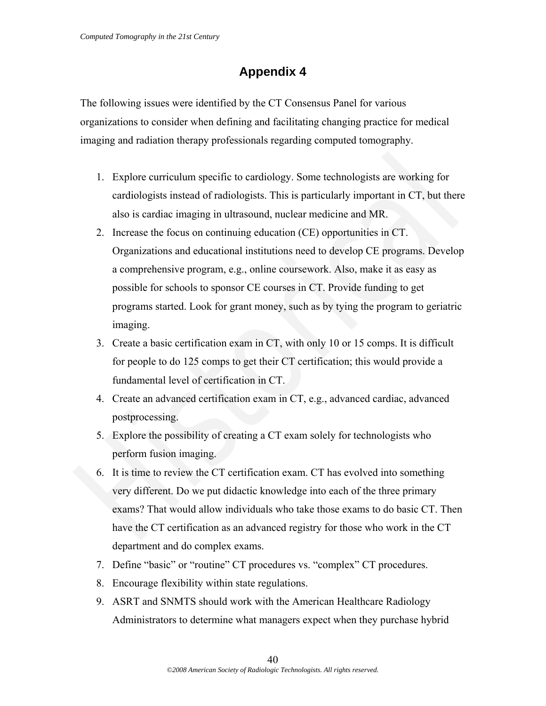# **Appendix 4**

The following issues were identified by the CT Consensus Panel for various organizations to consider when defining and facilitating changing practice for medical imaging and radiation therapy professionals regarding computed tomography.

- 1. Explore curriculum specific to cardiology. Some technologists are working for cardiologists instead of radiologists. This is particularly important in CT, but there also is cardiac imaging in ultrasound, nuclear medicine and MR.
- 2. Increase the focus on continuing education (CE) opportunities in CT. Organizations and educational institutions need to develop CE programs. Develop a comprehensive program, e.g., online coursework. Also, make it as easy as possible for schools to sponsor CE courses in CT. Provide funding to get programs started. Look for grant money, such as by tying the program to geriatric imaging. 1. Explore curriculum specific to cardiology. Some technologists are working for<br>cardiologists instead of radiologists. This is particularly important in CT, but there<br>also is cardiac imaging in ultrasound, nuclear medici
	- 3. Create a basic certification exam in CT, with only 10 or 15 comps. It is difficult for people to do 125 comps to get their CT certification; this would provide a fundamental level of certification in CT.
	- 4. Create an advanced certification exam in CT, e.g., advanced cardiac, advanced postprocessing.
	- 5. Explore the possibility of creating a CT exam solely for technologists who perform fusion imaging.
	- 6. It is time to review the CT certification exam. CT has evolved into something very different. Do we put didactic knowledge into each of the three primary exams? That would allow individuals who take those exams to do basic CT. Then have the CT certification as an advanced registry for those who work in the CT department and do complex exams.
	- 7. Define "basic" or "routine" CT procedures vs. "complex" CT procedures.
	- 8. Encourage flexibility within state regulations.
	- 9. ASRT and SNMTS should work with the American Healthcare Radiology Administrators to determine what managers expect when they purchase hybrid